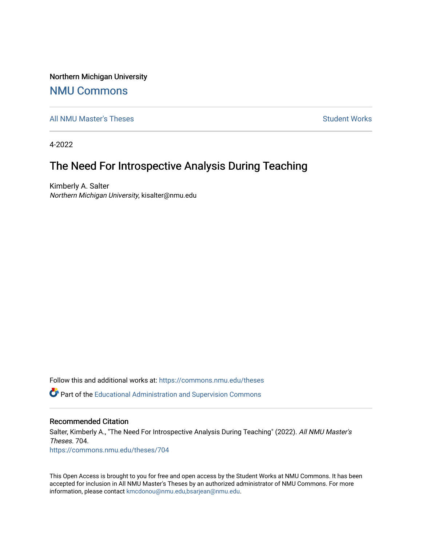Northern Michigan University

## [NMU Commons](https://commons.nmu.edu/)

[All NMU Master's Theses](https://commons.nmu.edu/theses) [Student Works](https://commons.nmu.edu/student_works) and Student Works Student Works Student Works

4-2022

# The Need For Introspective Analysis During Teaching

Kimberly A. Salter Northern Michigan University, kisalter@nmu.edu

Follow this and additional works at: [https://commons.nmu.edu/theses](https://commons.nmu.edu/theses?utm_source=commons.nmu.edu%2Ftheses%2F704&utm_medium=PDF&utm_campaign=PDFCoverPages)

 $\bullet$  Part of the [Educational Administration and Supervision Commons](http://network.bepress.com/hgg/discipline/787?utm_source=commons.nmu.edu%2Ftheses%2F704&utm_medium=PDF&utm_campaign=PDFCoverPages)

#### Recommended Citation

Salter, Kimberly A., "The Need For Introspective Analysis During Teaching" (2022). All NMU Master's Theses. 704. [https://commons.nmu.edu/theses/704](https://commons.nmu.edu/theses/704?utm_source=commons.nmu.edu%2Ftheses%2F704&utm_medium=PDF&utm_campaign=PDFCoverPages) 

This Open Access is brought to you for free and open access by the Student Works at NMU Commons. It has been accepted for inclusion in All NMU Master's Theses by an authorized administrator of NMU Commons. For more information, please contact [kmcdonou@nmu.edu,bsarjean@nmu.edu](mailto:kmcdonou@nmu.edu,bsarjean@nmu.edu).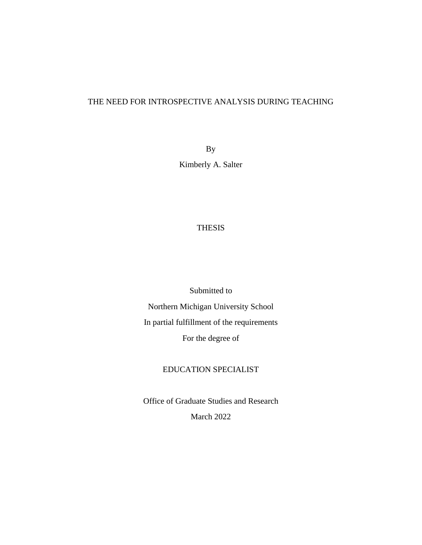## THE NEED FOR INTROSPECTIVE ANALYSIS DURING TEACHING

By Kimberly A. Salter

## THESIS

Submitted to Northern Michigan University School In partial fulfillment of the requirements For the degree of

## EDUCATION SPECIALIST

Office of Graduate Studies and Research March 2022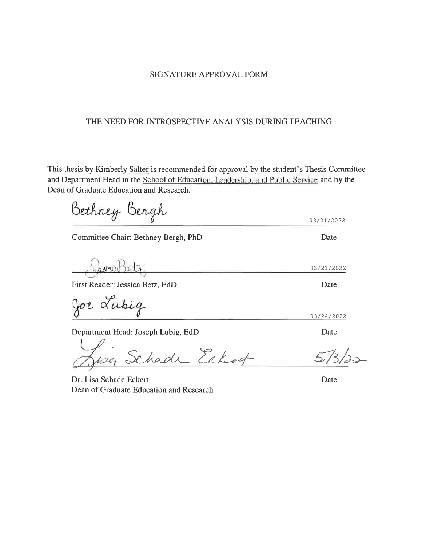## SIGNATURE APPROVAL FORM

## THE NEED FOR INTROSPECTIVE ANALYSIS DURING TEACHING

This thesis by Kimberly Salter is recommended for approval by the student's Thesis Committee and Department Head in the School of Education, Leadership, and Public Service and by the Dean of Graduate Education and Research.

Bethney Bergh

Committee Chair: Bethney Bergh, PhD

<u>kwico Bet</u>

First Reader: Jessica Betz, EdD

Joe Lubig

Department Head: Joseph Lubig, EdD

chade Eckof

Dr. Lisa Schade Eckert Dean of Graduate Education and Research

Date

03/21/2022

Date

Date

03/21/2022

03/24/2022

Date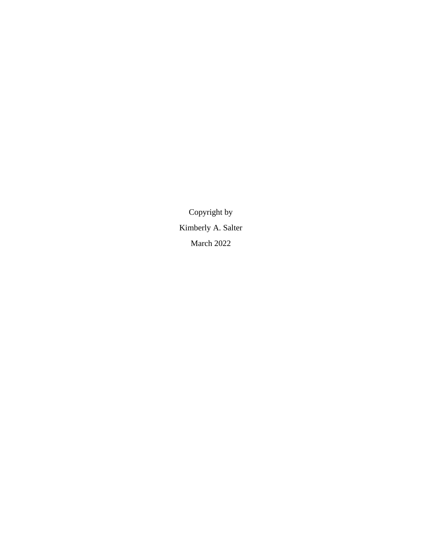Copyright by Kimberly A. Salter March 2022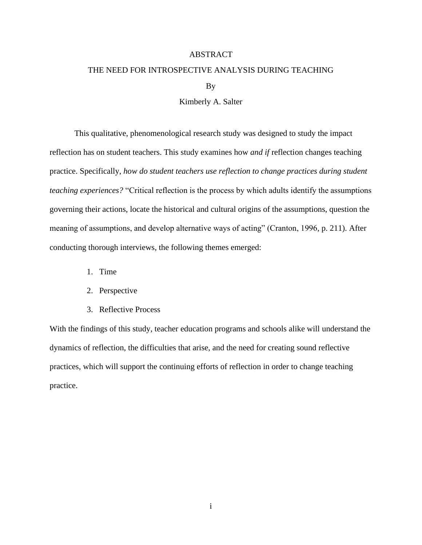## ABSTRACT

# THE NEED FOR INTROSPECTIVE ANALYSIS DURING TEACHING

By

Kimberly A. Salter

This qualitative, phenomenological research study was designed to study the impact reflection has on student teachers. This study examines how *and if* reflection changes teaching practice. Specifically, *how do student teachers use reflection to change practices during student teaching experiences?* "Critical reflection is the process by which adults identify the assumptions governing their actions, locate the historical and cultural origins of the assumptions, question the meaning of assumptions, and develop alternative ways of acting" (Cranton, 1996, p. 211). After conducting thorough interviews, the following themes emerged:

- 1. Time
- 2. Perspective
- 3. Reflective Process

With the findings of this study, teacher education programs and schools alike will understand the dynamics of reflection, the difficulties that arise, and the need for creating sound reflective practices, which will support the continuing efforts of reflection in order to change teaching practice.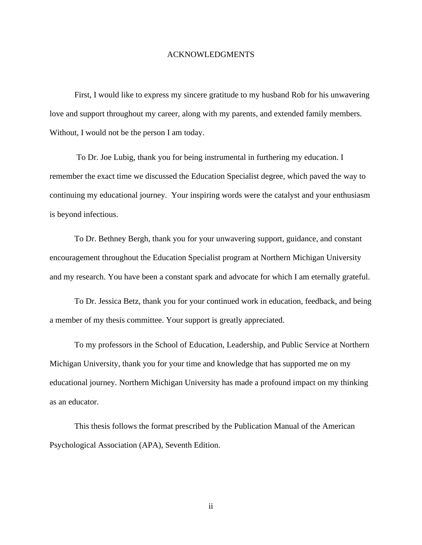#### ACKNOWLEDGMENTS

First, I would like to express my sincere gratitude to my husband Rob for his unwavering love and support throughout my career, along with my parents, and extended family members. Without, I would not be the person I am today.

To Dr. Joe Lubig, thank you for being instrumental in furthering my education. I remember the exact time we discussed the Education Specialist degree, which paved the way to continuing my educational journey. Your inspiring words were the catalyst and your enthusiasm is beyond infectious.

To Dr. Bethney Bergh, thank you for your unwavering support, guidance, and constant encouragement throughout the Education Specialist program at Northern Michigan University and my research. You have been a constant spark and advocate for which I am eternally grateful.

To Dr. Jessica Betz, thank you for your continued work in education, feedback, and being a member of my thesis committee. Your support is greatly appreciated.

To my professors in the School of Education, Leadership, and Public Service at Northern Michigan University, thank you for your time and knowledge that has supported me on my educational journey. Northern Michigan University has made a profound impact on my thinking as an educator.

This thesis follows the format prescribed by the Publication Manual of the American Psychological Association (APA), Seventh Edition.

ii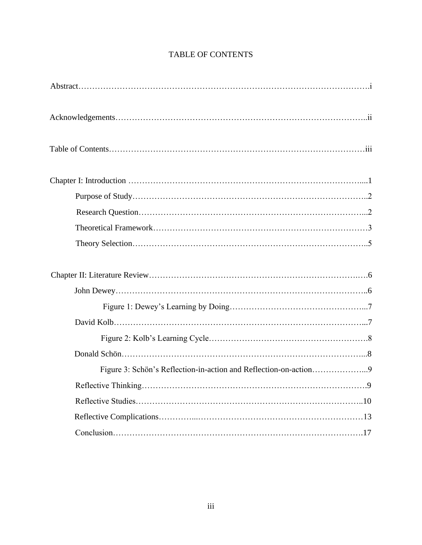## TABLE OF CONTENTS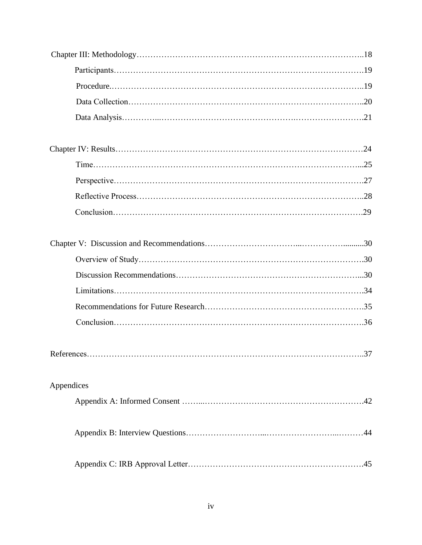| 37         |
|------------|
| Appendices |
|            |
|            |
|            |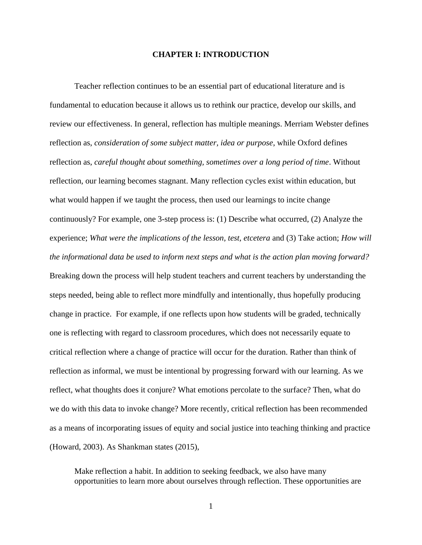#### **CHAPTER I: INTRODUCTION**

Teacher reflection continues to be an essential part of educational literature and is fundamental to education because it allows us to rethink our practice, develop our skills, and review our effectiveness. In general, reflection has multiple meanings. Merriam Webster defines reflection as, *consideration of some subject matter, idea or purpose*, while Oxford defines reflection as, *careful thought about something, sometimes over a long period of time*. Without reflection, our learning becomes stagnant. Many reflection cycles exist within education, but what would happen if we taught the process, then used our learnings to incite change continuously? For example, one 3-step process is: (1) Describe what occurred, (2) Analyze the experience; *What were the implications of the lesson, test, etcetera* and (3) Take action; *How will the informational data be used to inform next steps and what is the action plan moving forward?* Breaking down the process will help student teachers and current teachers by understanding the steps needed, being able to reflect more mindfully and intentionally, thus hopefully producing change in practice. For example, if one reflects upon how students will be graded, technically one is reflecting with regard to classroom procedures, which does not necessarily equate to critical reflection where a change of practice will occur for the duration. Rather than think of reflection as informal, we must be intentional by progressing forward with our learning. As we reflect, what thoughts does it conjure? What emotions percolate to the surface? Then, what do we do with this data to invoke change? More recently, critical reflection has been recommended as a means of incorporating issues of equity and social justice into teaching thinking and practice (Howard, 2003). As Shankman states (2015),

Make reflection a habit. In addition to seeking feedback, we also have many opportunities to learn more about ourselves through reflection. These opportunities are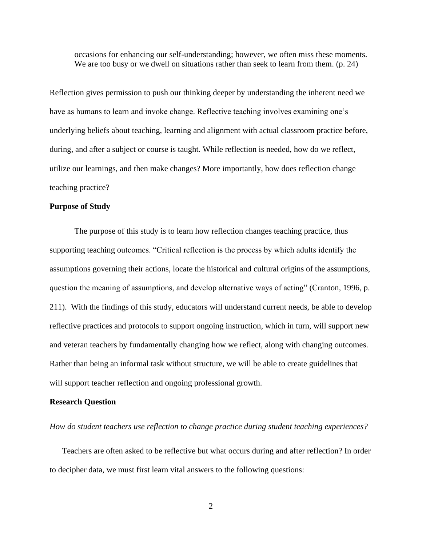occasions for enhancing our self-understanding; however, we often miss these moments. We are too busy or we dwell on situations rather than seek to learn from them. (p. 24)

Reflection gives permission to push our thinking deeper by understanding the inherent need we have as humans to learn and invoke change. Reflective teaching involves examining one's underlying beliefs about teaching, learning and alignment with actual classroom practice before, during, and after a subject or course is taught. While reflection is needed, how do we reflect, utilize our learnings, and then make changes? More importantly, how does reflection change teaching practice?

#### **Purpose of Study**

The purpose of this study is to learn how reflection changes teaching practice, thus supporting teaching outcomes. "Critical reflection is the process by which adults identify the assumptions governing their actions, locate the historical and cultural origins of the assumptions, question the meaning of assumptions, and develop alternative ways of acting" (Cranton, 1996, p. 211). With the findings of this study, educators will understand current needs, be able to develop reflective practices and protocols to support ongoing instruction, which in turn, will support new and veteran teachers by fundamentally changing how we reflect, along with changing outcomes. Rather than being an informal task without structure, we will be able to create guidelines that will support teacher reflection and ongoing professional growth.

#### **Research Question**

*How do student teachers use reflection to change practice during student teaching experiences?* 

Teachers are often asked to be reflective but what occurs during and after reflection? In order to decipher data, we must first learn vital answers to the following questions: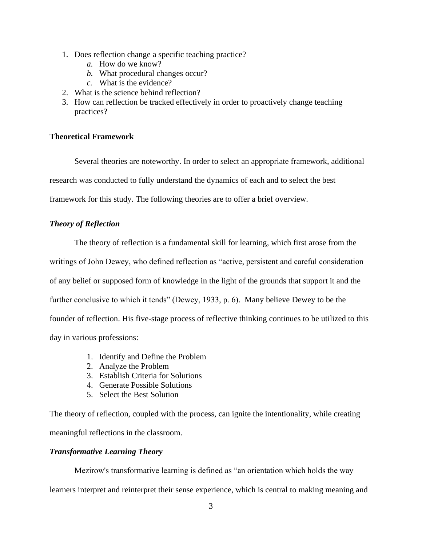- 1. Does reflection change a specific teaching practice?
	- *a.* How do we know?
	- *b.* What procedural changes occur?
	- *c.* What is the evidence?
- 2. What is the science behind reflection?
- 3. How can reflection be tracked effectively in order to proactively change teaching practices?

## **Theoretical Framework**

Several theories are noteworthy. In order to select an appropriate framework, additional research was conducted to fully understand the dynamics of each and to select the best framework for this study. The following theories are to offer a brief overview.

## *Theory of Reflection*

The theory of reflection is a fundamental skill for learning, which first arose from the writings of John Dewey, who defined reflection as "active, persistent and careful consideration of any belief or supposed form of knowledge in the light of the grounds that support it and the further conclusive to which it tends" (Dewey, 1933, p. 6). Many believe Dewey to be the founder of reflection. His five-stage process of reflective thinking continues to be utilized to this day in various professions:

- 1. Identify and Define the Problem
- 2. Analyze the Problem
- 3. Establish Criteria for Solutions
- 4. Generate Possible Solutions
- 5. Select the Best Solution

The theory of reflection, coupled with the process, can ignite the intentionality, while creating meaningful reflections in the classroom.

## *Transformative Learning Theory*

Mezirow's transformative learning is defined as "an orientation which holds the way

learners interpret and reinterpret their sense experience, which is central to making meaning and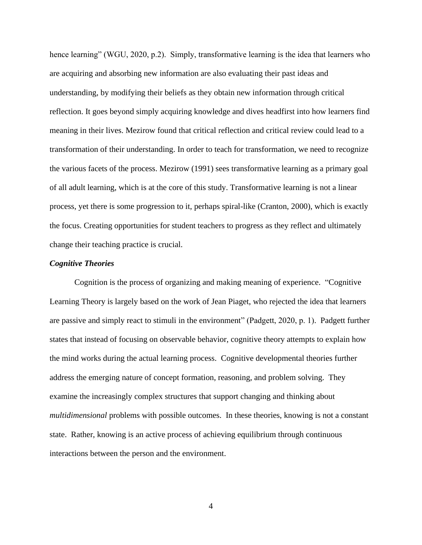hence learning" (WGU, 2020, p.2). Simply, transformative learning is the idea that learners who are acquiring and absorbing new information are also evaluating their past ideas and understanding, by modifying their beliefs as they obtain new information through critical reflection. It goes beyond simply acquiring knowledge and dives headfirst into how learners find meaning in their lives. Mezirow found that critical reflection and critical review could lead to a transformation of their understanding. In order to teach for transformation, we need to recognize the various facets of the process. Mezirow (1991) sees transformative learning as a primary goal of all adult learning, which is at the core of this study. Transformative learning is not a linear process, yet there is some progression to it, perhaps spiral-like (Cranton, 2000), which is exactly the focus. Creating opportunities for student teachers to progress as they reflect and ultimately change their teaching practice is crucial.

#### *Cognitive Theories*

Cognition is the process of organizing and making meaning of experience. "Cognitive Learning Theory is largely based on the work of Jean Piaget, who rejected the idea that learners are passive and simply react to stimuli in the environment" (Padgett, 2020, p. 1). Padgett further states that instead of focusing on observable behavior, cognitive theory attempts to explain how the mind works during the actual learning process. Cognitive developmental theories further address the emerging nature of concept formation, reasoning, and problem solving. They examine the increasingly complex structures that support changing and thinking about *multidimensional* problems with possible outcomes. In these theories, knowing is not a constant state. Rather, knowing is an active process of achieving equilibrium through continuous interactions between the person and the environment.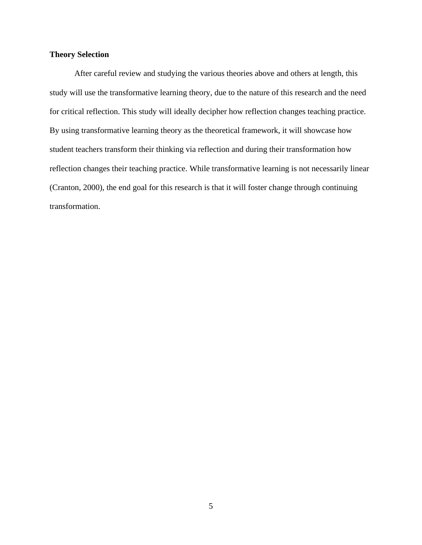## **Theory Selection**

After careful review and studying the various theories above and others at length, this study will use the transformative learning theory, due to the nature of this research and the need for critical reflection. This study will ideally decipher how reflection changes teaching practice. By using transformative learning theory as the theoretical framework, it will showcase how student teachers transform their thinking via reflection and during their transformation how reflection changes their teaching practice. While transformative learning is not necessarily linear (Cranton, 2000), the end goal for this research is that it will foster change through continuing transformation.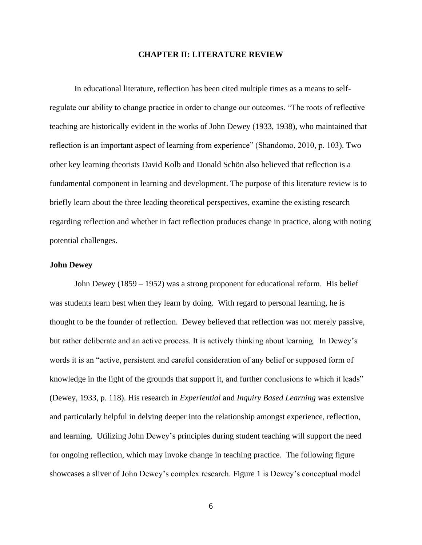#### **CHAPTER II: LITERATURE REVIEW**

In educational literature, reflection has been cited multiple times as a means to selfregulate our ability to change practice in order to change our outcomes. "The roots of reflective teaching are historically evident in the works of John Dewey (1933, 1938), who maintained that reflection is an important aspect of learning from experience" (Shandomo, 2010, p. 103). Two other key learning theorists David Kolb and Donald Schön also believed that reflection is a fundamental component in learning and development. The purpose of this literature review is to briefly learn about the three leading theoretical perspectives, examine the existing research regarding reflection and whether in fact reflection produces change in practice, along with noting potential challenges.

#### **John Dewey**

John Dewey (1859 – 1952) was a strong proponent for educational reform. His belief was students learn best when they learn by doing. With regard to personal learning, he is thought to be the founder of reflection. Dewey believed that reflection was not merely passive, but rather deliberate and an active process. It is actively thinking about learning. In Dewey's words it is an "active, persistent and careful consideration of any belief or supposed form of knowledge in the light of the grounds that support it, and further conclusions to which it leads" (Dewey, 1933, p. 118). His research in *Experiential* and *Inquiry Based Learning* was extensive and particularly helpful in delving deeper into the relationship amongst experience, reflection, and learning. Utilizing John Dewey's principles during student teaching will support the need for ongoing reflection, which may invoke change in teaching practice. The following figure showcases a sliver of John Dewey's complex research. Figure 1 is Dewey's conceptual model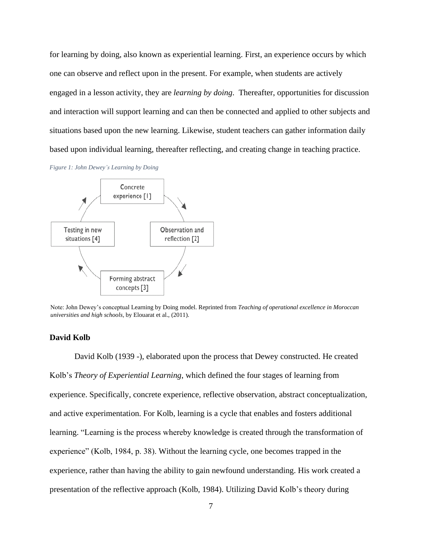for learning by doing, also known as experiential learning. First, an experience occurs by which one can observe and reflect upon in the present. For example, when students are actively engaged in a lesson activity, they are *learning by doing*. Thereafter, opportunities for discussion and interaction will support learning and can then be connected and applied to other subjects and situations based upon the new learning. Likewise, student teachers can gather information daily based upon individual learning, thereafter reflecting, and creating change in teaching practice.

*Figure 1: John Dewey's Learning by Doing*



Note: John Dewey's conceptual Learning by Doing model. Reprinted from *Teaching of operational excellence in Moroccan universities and high schools,* by Elouarat et al., (2011).

#### **David Kolb**

David Kolb (1939 -), elaborated upon the process that Dewey constructed. He created Kolb's *Theory of Experiential Learning*, which defined the four stages of learning from experience. Specifically, concrete experience, reflective observation, abstract conceptualization, and active experimentation. For Kolb, learning is a cycle that enables and fosters additional learning. "Learning is the process whereby knowledge is created through the transformation of experience" (Kolb, 1984, p. 38). Without the learning cycle, one becomes trapped in the experience, rather than having the ability to gain newfound understanding. His work created a presentation of the reflective approach (Kolb, 1984). Utilizing David Kolb's theory during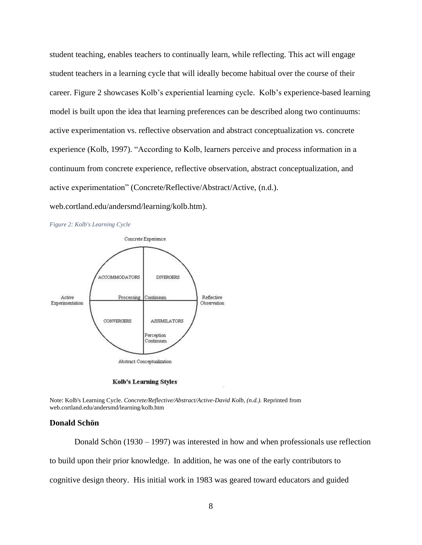student teaching, enables teachers to continually learn, while reflecting. This act will engage student teachers in a learning cycle that will ideally become habitual over the course of their career. Figure 2 showcases Kolb's experiential learning cycle. Kolb's experience-based learning model is built upon the idea that learning preferences can be described along two continuums: active experimentation vs. reflective observation and abstract conceptualization vs. concrete experience (Kolb, 1997). "According to Kolb, learners perceive and process information in a continuum from concrete experience, reflective observation, abstract conceptualization, and active experimentation" (Concrete/Reflective/Abstract/Active, (n.d.).

web.cortland.edu/andersmd/learning/kolb.htm).

*Figure 2: Kolb's Learning Cycle*



**Kolb's Learning Styles** 

Note: Kolb's Learning Cycle. *Concrete/Reflective/Abstract/Active-David Kolb, (n.d.).* Reprinted from web.cortland.edu/andersmd/learning/kolb.htm

#### **Donald Schön**

Donald Schön (1930 – 1997) was interested in how and when professionals use reflection to build upon their prior knowledge. In addition, he was one of the early contributors to cognitive design theory. His initial work in 1983 was geared toward educators and guided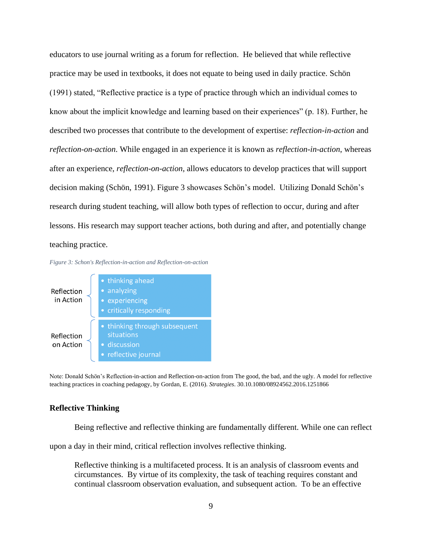educators to use journal writing as a forum for reflection. He believed that while reflective practice may be used in textbooks, it does not equate to being used in daily practice. Schön (1991) stated, "Reflective practice is a type of practice through which an individual comes to know about the implicit knowledge and learning based on their experiences" (p. 18). Further, he described two processes that contribute to the development of expertise: *reflection-in-action* and *reflection-on-action*. While engaged in an experience it is known as *reflection-in-action*, whereas after an experience, *reflection-on-action*, allows educators to develop practices that will support decision making (Schön, 1991). Figure 3 showcases Schön's model. Utilizing Donald Schön's research during student teaching, will allow both types of reflection to occur, during and after lessons. His research may support teacher actions, both during and after, and potentially change teaching practice.

*Figure 3: Schon's Reflection-in-action and Reflection-on-action*



Note: Donald Schön's Reflection-in-action and Reflection-on-action from The good, the bad, and the ugly. A model for reflective teaching practices in coaching pedagogy, by Gordan, E. (2016). *Strategies*. 30.10.1080/08924562.2016.1251866

## **Reflective Thinking**

Being reflective and reflective thinking are fundamentally different. While one can reflect

upon a day in their mind, critical reflection involves reflective thinking.

Reflective thinking is a multifaceted process. It is an analysis of classroom events and circumstances. By virtue of its complexity, the task of teaching requires constant and continual classroom observation evaluation, and subsequent action. To be an effective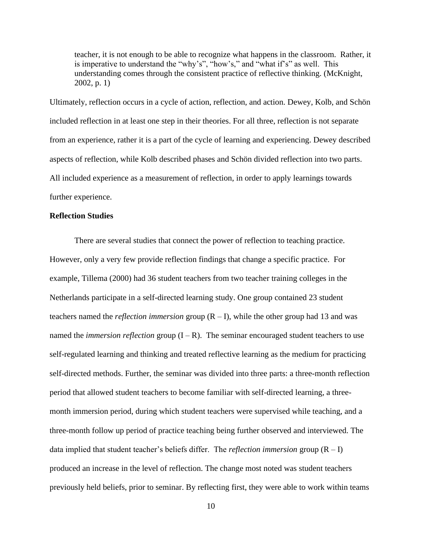teacher, it is not enough to be able to recognize what happens in the classroom. Rather, it is imperative to understand the "why's", "how's," and "what if's" as well. This understanding comes through the consistent practice of reflective thinking. (McKnight, 2002, p. 1)

Ultimately, reflection occurs in a cycle of action, reflection, and action. Dewey, Kolb, and Schön included reflection in at least one step in their theories. For all three, reflection is not separate from an experience, rather it is a part of the cycle of learning and experiencing. Dewey described aspects of reflection, while Kolb described phases and Schön divided reflection into two parts. All included experience as a measurement of reflection, in order to apply learnings towards further experience.

#### **Reflection Studies**

There are several studies that connect the power of reflection to teaching practice. However, only a very few provide reflection findings that change a specific practice. For example, Tillema (2000) had 36 student teachers from two teacher training colleges in the Netherlands participate in a self-directed learning study. One group contained 23 student teachers named the *reflection immersion* group  $(R - I)$ , while the other group had 13 and was named the *immersion reflection* group  $(I - R)$ . The seminar encouraged student teachers to use self-regulated learning and thinking and treated reflective learning as the medium for practicing self-directed methods. Further, the seminar was divided into three parts: a three-month reflection period that allowed student teachers to become familiar with self-directed learning, a threemonth immersion period, during which student teachers were supervised while teaching, and a three-month follow up period of practice teaching being further observed and interviewed. The data implied that student teacher's beliefs differ. The *reflection immersion* group (R – I) produced an increase in the level of reflection. The change most noted was student teachers previously held beliefs, prior to seminar. By reflecting first, they were able to work within teams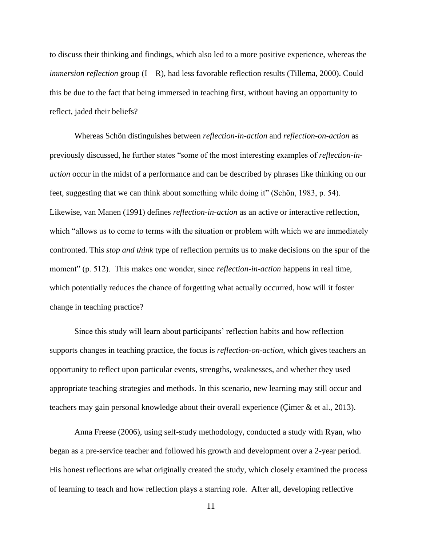to discuss their thinking and findings, which also led to a more positive experience, whereas the *immersion reflection* group  $(I - R)$ , had less favorable reflection results (Tillema, 2000). Could this be due to the fact that being immersed in teaching first, without having an opportunity to reflect, jaded their beliefs?

Whereas Schön distinguishes between *reflection-in-action* and *reflection-on-action* as previously discussed, he further states "some of the most interesting examples of *reflection-inaction* occur in the midst of a performance and can be described by phrases like thinking on our feet, suggesting that we can think about something while doing it" (Schön, 1983, p. 54). Likewise, van Manen (1991) defines *reflection-in-action* as an active or interactive reflection, which "allows us to come to terms with the situation or problem with which we are immediately confronted. This *stop and think* type of reflection permits us to make decisions on the spur of the moment" (p. 512). This makes one wonder, since *reflection-in-action* happens in real time, which potentially reduces the chance of forgetting what actually occurred, how will it foster change in teaching practice?

Since this study will learn about participants' reflection habits and how reflection supports changes in teaching practice, the focus is *reflection-on-action*, which gives teachers an opportunity to reflect upon particular events, strengths, weaknesses, and whether they used appropriate teaching strategies and methods. In this scenario, new learning may still occur and teachers may gain personal knowledge about their overall experience (Çimer & et al., 2013).

Anna Freese (2006), using self-study methodology, conducted a study with Ryan, who began as a pre-service teacher and followed his growth and development over a 2-year period. His honest reflections are what originally created the study, which closely examined the process of learning to teach and how reflection plays a starring role. After all, developing reflective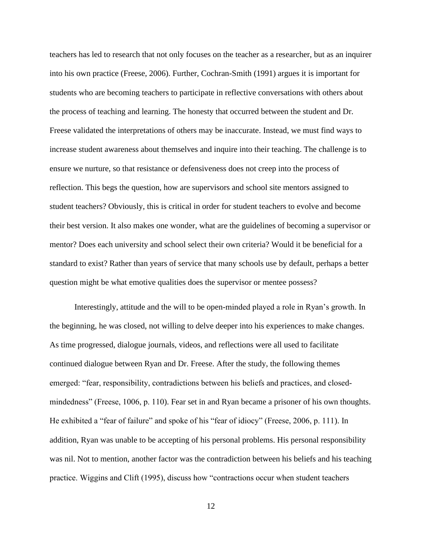teachers has led to research that not only focuses on the teacher as a researcher, but as an inquirer into his own practice (Freese, 2006). Further, Cochran-Smith (1991) argues it is important for students who are becoming teachers to participate in reflective conversations with others about the process of teaching and learning. The honesty that occurred between the student and Dr. Freese validated the interpretations of others may be inaccurate. Instead, we must find ways to increase student awareness about themselves and inquire into their teaching. The challenge is to ensure we nurture, so that resistance or defensiveness does not creep into the process of reflection. This begs the question, how are supervisors and school site mentors assigned to student teachers? Obviously, this is critical in order for student teachers to evolve and become their best version. It also makes one wonder, what are the guidelines of becoming a supervisor or mentor? Does each university and school select their own criteria? Would it be beneficial for a standard to exist? Rather than years of service that many schools use by default, perhaps a better question might be what emotive qualities does the supervisor or mentee possess?

Interestingly, attitude and the will to be open-minded played a role in Ryan's growth. In the beginning, he was closed, not willing to delve deeper into his experiences to make changes. As time progressed, dialogue journals, videos, and reflections were all used to facilitate continued dialogue between Ryan and Dr. Freese. After the study, the following themes emerged: "fear, responsibility, contradictions between his beliefs and practices, and closedmindedness" (Freese, 1006, p. 110). Fear set in and Ryan became a prisoner of his own thoughts. He exhibited a "fear of failure" and spoke of his "fear of idiocy" (Freese, 2006, p. 111). In addition, Ryan was unable to be accepting of his personal problems. His personal responsibility was nil. Not to mention, another factor was the contradiction between his beliefs and his teaching practice. Wiggins and Clift (1995), discuss how "contractions occur when student teachers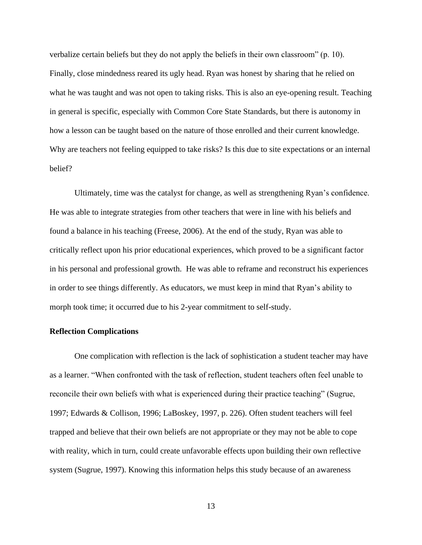verbalize certain beliefs but they do not apply the beliefs in their own classroom" (p. 10). Finally, close mindedness reared its ugly head. Ryan was honest by sharing that he relied on what he was taught and was not open to taking risks. This is also an eye-opening result. Teaching in general is specific, especially with Common Core State Standards, but there is autonomy in how a lesson can be taught based on the nature of those enrolled and their current knowledge. Why are teachers not feeling equipped to take risks? Is this due to site expectations or an internal belief?

Ultimately, time was the catalyst for change, as well as strengthening Ryan's confidence. He was able to integrate strategies from other teachers that were in line with his beliefs and found a balance in his teaching (Freese, 2006). At the end of the study, Ryan was able to critically reflect upon his prior educational experiences, which proved to be a significant factor in his personal and professional growth. He was able to reframe and reconstruct his experiences in order to see things differently. As educators, we must keep in mind that Ryan's ability to morph took time; it occurred due to his 2-year commitment to self-study.

#### **Reflection Complications**

One complication with reflection is the lack of sophistication a student teacher may have as a learner. "When confronted with the task of reflection, student teachers often feel unable to reconcile their own beliefs with what is experienced during their practice teaching" (Sugrue, 1997; Edwards & Collison, 1996; LaBoskey, 1997, p. 226). Often student teachers will feel trapped and believe that their own beliefs are not appropriate or they may not be able to cope with reality, which in turn, could create unfavorable effects upon building their own reflective system (Sugrue, 1997). Knowing this information helps this study because of an awareness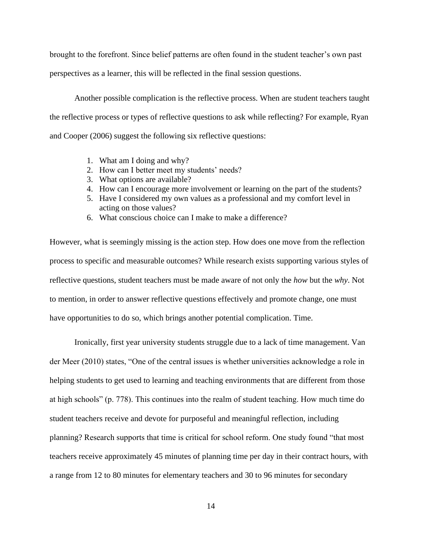brought to the forefront. Since belief patterns are often found in the student teacher's own past perspectives as a learner, this will be reflected in the final session questions.

Another possible complication is the reflective process. When are student teachers taught the reflective process or types of reflective questions to ask while reflecting? For example, Ryan and Cooper (2006) suggest the following six reflective questions:

- 1. What am I doing and why?
- 2. How can I better meet my students' needs?
- 3. What options are available?
- 4. How can I encourage more involvement or learning on the part of the students?
- 5. Have I considered my own values as a professional and my comfort level in acting on those values?
- 6. What conscious choice can I make to make a difference?

However, what is seemingly missing is the action step. How does one move from the reflection process to specific and measurable outcomes? While research exists supporting various styles of reflective questions, student teachers must be made aware of not only the *how* but the *why*. Not to mention, in order to answer reflective questions effectively and promote change, one must have opportunities to do so, which brings another potential complication. Time.

Ironically, first year university students struggle due to a lack of time management. Van der Meer (2010) states, "One of the central issues is whether universities acknowledge a role in helping students to get used to learning and teaching environments that are different from those at high schools" (p. 778). This continues into the realm of student teaching. How much time do student teachers receive and devote for purposeful and meaningful reflection, including planning? Research supports that time is critical for school reform. One study found "that most teachers receive approximately 45 minutes of planning time per day in their contract hours, with a range from 12 to 80 minutes for elementary teachers and 30 to 96 minutes for secondary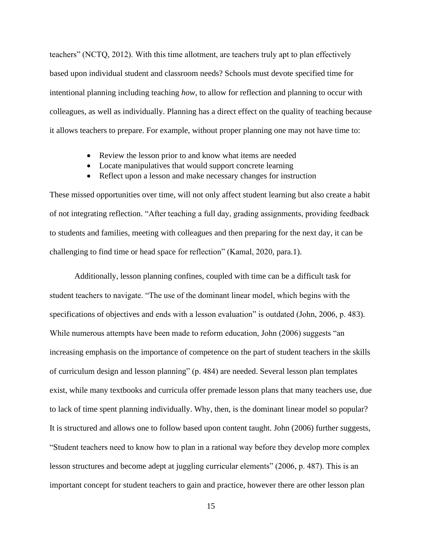teachers" (NCTQ, 2012). With this time allotment, are teachers truly apt to plan effectively based upon individual student and classroom needs? Schools must devote specified time for intentional planning including teaching *how*, to allow for reflection and planning to occur with colleagues, as well as individually. Planning has a direct effect on the quality of teaching because it allows teachers to prepare. For example, without proper planning one may not have time to:

- Review the lesson prior to and know what items are needed
- Locate manipulatives that would support concrete learning
- Reflect upon a lesson and make necessary changes for instruction

These missed opportunities over time, will not only affect student learning but also create a habit of not integrating reflection. "After teaching a full day, grading assignments, providing feedback to students and families, meeting with colleagues and then preparing for the next day, it can be challenging to find time or head space for reflection" (Kamal, 2020, para.1).

Additionally, lesson planning confines, coupled with time can be a difficult task for student teachers to navigate. "The use of the dominant linear model, which begins with the specifications of objectives and ends with a lesson evaluation" is outdated (John, 2006, p. 483). While numerous attempts have been made to reform education, John (2006) suggests "an increasing emphasis on the importance of competence on the part of student teachers in the skills of curriculum design and lesson planning" (p. 484) are needed. Several lesson plan templates exist, while many textbooks and curricula offer premade lesson plans that many teachers use, due to lack of time spent planning individually. Why, then, is the dominant linear model so popular? It is structured and allows one to follow based upon content taught. John (2006) further suggests, "Student teachers need to know how to plan in a rational way before they develop more complex lesson structures and become adept at juggling curricular elements" (2006, p. 487). This is an important concept for student teachers to gain and practice, however there are other lesson plan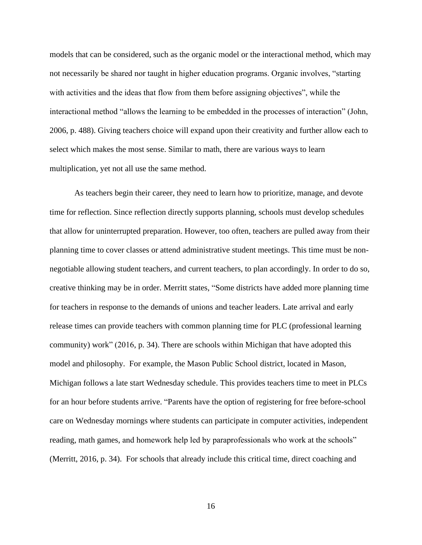models that can be considered, such as the organic model or the interactional method, which may not necessarily be shared nor taught in higher education programs. Organic involves, "starting with activities and the ideas that flow from them before assigning objectives", while the interactional method "allows the learning to be embedded in the processes of interaction" (John, 2006, p. 488). Giving teachers choice will expand upon their creativity and further allow each to select which makes the most sense. Similar to math, there are various ways to learn multiplication, yet not all use the same method.

As teachers begin their career, they need to learn how to prioritize, manage, and devote time for reflection. Since reflection directly supports planning, schools must develop schedules that allow for uninterrupted preparation. However, too often, teachers are pulled away from their planning time to cover classes or attend administrative student meetings. This time must be nonnegotiable allowing student teachers, and current teachers, to plan accordingly. In order to do so, creative thinking may be in order. Merritt states, "Some districts have added more planning time for teachers in response to the demands of unions and teacher leaders. Late arrival and early release times can provide teachers with common planning time for PLC (professional learning community) work" (2016, p. 34). There are schools within Michigan that have adopted this model and philosophy. For example, the Mason Public School district, located in Mason, Michigan follows a late start Wednesday schedule. This provides teachers time to meet in PLCs for an hour before students arrive. "Parents have the option of registering for free before-school care on Wednesday mornings where students can participate in computer activities, independent reading, math games, and homework help led by paraprofessionals who work at the schools" (Merritt, 2016, p. 34). For schools that already include this critical time, direct coaching and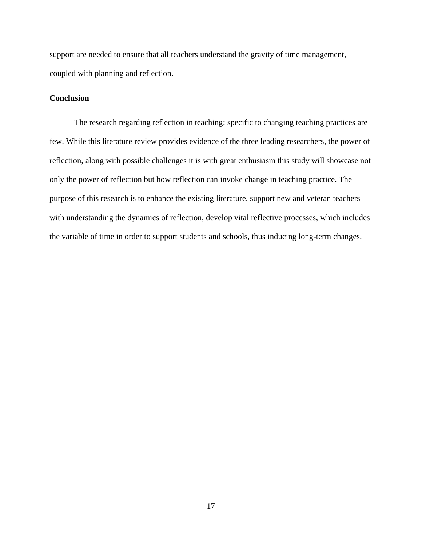support are needed to ensure that all teachers understand the gravity of time management, coupled with planning and reflection.

## **Conclusion**

The research regarding reflection in teaching; specific to changing teaching practices are few. While this literature review provides evidence of the three leading researchers, the power of reflection, along with possible challenges it is with great enthusiasm this study will showcase not only the power of reflection but how reflection can invoke change in teaching practice. The purpose of this research is to enhance the existing literature, support new and veteran teachers with understanding the dynamics of reflection, develop vital reflective processes, which includes the variable of time in order to support students and schools, thus inducing long-term changes.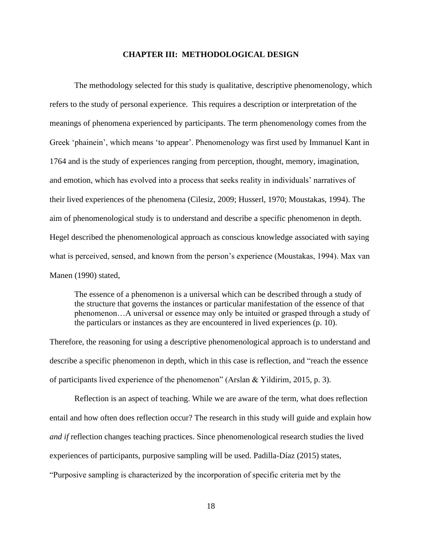#### **CHAPTER III: METHODOLOGICAL DESIGN**

The methodology selected for this study is qualitative, descriptive phenomenology, which refers to the study of personal experience. This requires a description or interpretation of the meanings of phenomena experienced by participants. The term phenomenology comes from the Greek 'phainein', which means 'to appear'. Phenomenology was first used by Immanuel Kant in 1764 and is the study of experiences ranging from perception, thought, memory, imagination, and emotion, which has evolved into a process that seeks reality in individuals' narratives of their lived experiences of the phenomena (Cilesiz, 2009; Husserl, 1970; Moustakas, 1994). The aim of phenomenological study is to understand and describe a specific phenomenon in depth. Hegel described the phenomenological approach as conscious knowledge associated with saying what is perceived, sensed, and known from the person's experience (Moustakas, 1994). Max van Manen (1990) stated,

The essence of a phenomenon is a universal which can be described through a study of the structure that governs the instances or particular manifestation of the essence of that phenomenon…A universal or essence may only be intuited or grasped through a study of the particulars or instances as they are encountered in lived experiences (p. 10).

Therefore, the reasoning for using a descriptive phenomenological approach is to understand and describe a specific phenomenon in depth, which in this case is reflection, and "reach the essence of participants lived experience of the phenomenon" (Arslan & Yildirim, 2015, p. 3).

Reflection is an aspect of teaching. While we are aware of the term, what does reflection entail and how often does reflection occur? The research in this study will guide and explain how *and if* reflection changes teaching practices. Since phenomenological research studies the lived experiences of participants, purposive sampling will be used. Padilla-Díaz (2015) states, "Purposive sampling is characterized by the incorporation of specific criteria met by the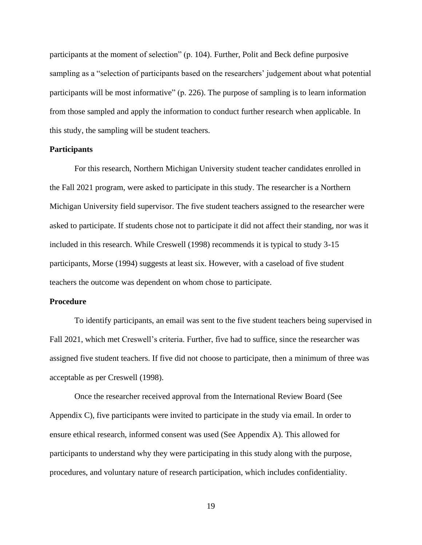participants at the moment of selection" (p. 104). Further, Polit and Beck define purposive sampling as a "selection of participants based on the researchers' judgement about what potential participants will be most informative" (p. 226). The purpose of sampling is to learn information from those sampled and apply the information to conduct further research when applicable. In this study, the sampling will be student teachers.

#### **Participants**

For this research, Northern Michigan University student teacher candidates enrolled in the Fall 2021 program, were asked to participate in this study. The researcher is a Northern Michigan University field supervisor. The five student teachers assigned to the researcher were asked to participate. If students chose not to participate it did not affect their standing, nor was it included in this research. While Creswell (1998) recommends it is typical to study 3-15 participants, Morse (1994) suggests at least six. However, with a caseload of five student teachers the outcome was dependent on whom chose to participate.

#### **Procedure**

To identify participants, an email was sent to the five student teachers being supervised in Fall 2021, which met Creswell's criteria. Further, five had to suffice, since the researcher was assigned five student teachers. If five did not choose to participate, then a minimum of three was acceptable as per Creswell (1998).

Once the researcher received approval from the International Review Board (See Appendix C), five participants were invited to participate in the study via email. In order to ensure ethical research, informed consent was used (See Appendix A). This allowed for participants to understand why they were participating in this study along with the purpose, procedures, and voluntary nature of research participation, which includes confidentiality.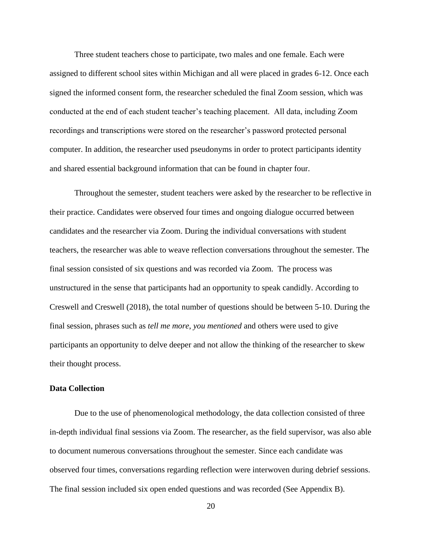Three student teachers chose to participate, two males and one female. Each were assigned to different school sites within Michigan and all were placed in grades 6-12. Once each signed the informed consent form, the researcher scheduled the final Zoom session, which was conducted at the end of each student teacher's teaching placement. All data, including Zoom recordings and transcriptions were stored on the researcher's password protected personal computer. In addition, the researcher used pseudonyms in order to protect participants identity and shared essential background information that can be found in chapter four.

Throughout the semester, student teachers were asked by the researcher to be reflective in their practice. Candidates were observed four times and ongoing dialogue occurred between candidates and the researcher via Zoom. During the individual conversations with student teachers, the researcher was able to weave reflection conversations throughout the semester. The final session consisted of six questions and was recorded via Zoom. The process was unstructured in the sense that participants had an opportunity to speak candidly. According to Creswell and Creswell (2018), the total number of questions should be between 5-10. During the final session, phrases such as *tell me more*, *you mentioned* and others were used to give participants an opportunity to delve deeper and not allow the thinking of the researcher to skew their thought process.

#### **Data Collection**

Due to the use of phenomenological methodology, the data collection consisted of three in-depth individual final sessions via Zoom. The researcher, as the field supervisor, was also able to document numerous conversations throughout the semester. Since each candidate was observed four times, conversations regarding reflection were interwoven during debrief sessions. The final session included six open ended questions and was recorded (See Appendix B).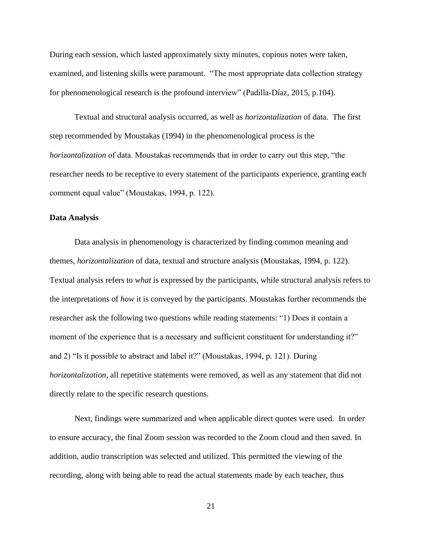During each session, which lasted approximately sixty minutes, copious notes were taken, examined, and listening skills were paramount. "The most appropriate data collection strategy for phenomenological research is the profound interview" (Padilla-Díaz, 2015, p.104).

Textual and structural analysis occurred, as well as *horizontalization* of data. The first step recommended by Moustakas (1994) in the phenomenological process is the *horizontalization* of data. Moustakas recommends that in order to carry out this step, "the researcher needs to be receptive to every statement of the participants experience, granting each comment equal value" (Moustakas, 1994, p. 122).

#### **Data Analysis**

Data analysis in phenomenology is characterized by finding common meaning and themes, *horizontalization* of data, textual and structure analysis (Moustakas, 1994, p. 122). Textual analysis refers to *what* is expressed by the participants, while structural analysis refers to the interpretations of *how* it is conveyed by the participants. Moustakas further recommends the researcher ask the following two questions while reading statements: "1) Does it contain a moment of the experience that is a necessary and sufficient constituent for understanding it?" and 2) "Is it possible to abstract and label it?" (Moustakas, 1994, p. 121). During *horizontalization*, all repetitive statements were removed, as well as any statement that did not directly relate to the specific research questions.

Next, findings were summarized and when applicable direct quotes were used. In order to ensure accuracy, the final Zoom session was recorded to the Zoom cloud and then saved. In addition, audio transcription was selected and utilized. This permitted the viewing of the recording, along with being able to read the actual statements made by each teacher, thus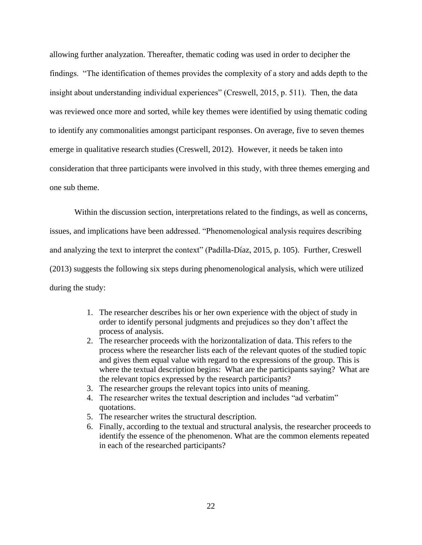allowing further analyzation. Thereafter, thematic coding was used in order to decipher the findings. "The identification of themes provides the complexity of a story and adds depth to the insight about understanding individual experiences" (Creswell, 2015, p. 511). Then, the data was reviewed once more and sorted, while key themes were identified by using thematic coding to identify any commonalities amongst participant responses. On average, five to seven themes emerge in qualitative research studies (Creswell, 2012). However, it needs be taken into consideration that three participants were involved in this study, with three themes emerging and one sub theme.

Within the discussion section, interpretations related to the findings, as well as concerns, issues, and implications have been addressed. "Phenomenological analysis requires describing and analyzing the text to interpret the context" (Padilla-Díaz, 2015, p. 105). Further, Creswell (2013) suggests the following six steps during phenomenological analysis, which were utilized during the study:

- 1. The researcher describes his or her own experience with the object of study in order to identify personal judgments and prejudices so they don't affect the process of analysis.
- 2. The researcher proceeds with the horizontalization of data. This refers to the process where the researcher lists each of the relevant quotes of the studied topic and gives them equal value with regard to the expressions of the group. This is where the textual description begins: What are the participants saying? What are the relevant topics expressed by the research participants?
- 3. The researcher groups the relevant topics into units of meaning.
- 4. The researcher writes the textual description and includes "ad verbatim" quotations.
- 5. The researcher writes the structural description.
- 6. Finally, according to the textual and structural analysis, the researcher proceeds to identify the essence of the phenomenon. What are the common elements repeated in each of the researched participants?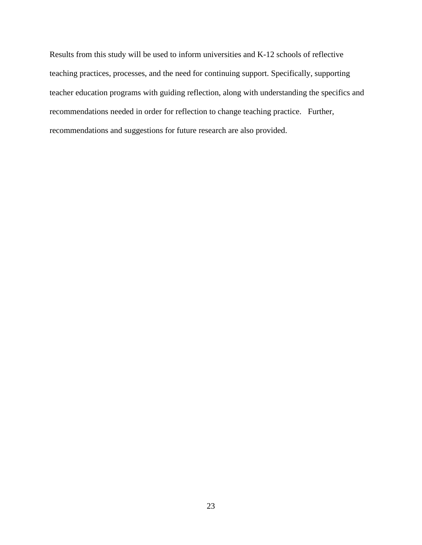Results from this study will be used to inform universities and K-12 schools of reflective teaching practices, processes, and the need for continuing support. Specifically, supporting teacher education programs with guiding reflection, along with understanding the specifics and recommendations needed in order for reflection to change teaching practice. Further, recommendations and suggestions for future research are also provided.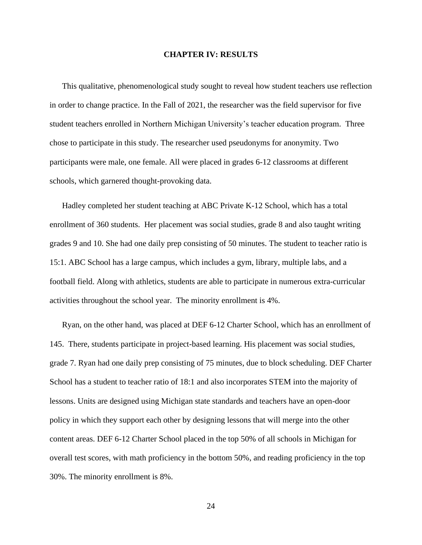#### **CHAPTER IV: RESULTS**

This qualitative, phenomenological study sought to reveal how student teachers use reflection in order to change practice. In the Fall of 2021, the researcher was the field supervisor for five student teachers enrolled in Northern Michigan University's teacher education program. Three chose to participate in this study. The researcher used pseudonyms for anonymity. Two participants were male, one female. All were placed in grades 6-12 classrooms at different schools, which garnered thought-provoking data.

Hadley completed her student teaching at ABC Private K-12 School, which has a total enrollment of 360 students. Her placement was social studies, grade 8 and also taught writing grades 9 and 10. She had one daily prep consisting of 50 minutes. The student to teacher ratio is 15:1. ABC School has a large campus, which includes a gym, library, multiple labs, and a football field. Along with athletics, students are able to participate in numerous extra-curricular activities throughout the school year. The minority enrollment is 4%.

Ryan, on the other hand, was placed at DEF 6-12 Charter School, which has an enrollment of 145. There, students participate in project-based learning. His placement was social studies, grade 7. Ryan had one daily prep consisting of 75 minutes, due to block scheduling. DEF Charter School has a student to teacher ratio of 18:1 and also incorporates STEM into the majority of lessons. Units are designed using Michigan state standards and teachers have an open-door policy in which they support each other by designing lessons that will merge into the other content areas. DEF 6-12 Charter School placed in the top 50% of all schools in Michigan for overall test scores, with math proficiency in the bottom 50%, and reading proficiency in the top 30%. The minority enrollment is 8%.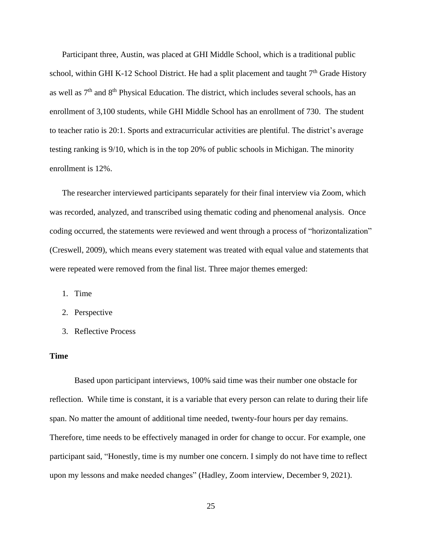Participant three, Austin, was placed at GHI Middle School, which is a traditional public school, within GHI K-12 School District. He had a split placement and taught  $7<sup>th</sup>$  Grade History as well as  $7<sup>th</sup>$  and  $8<sup>th</sup>$  Physical Education. The district, which includes several schools, has an enrollment of 3,100 students, while GHI Middle School has an enrollment of 730. The student to teacher ratio is 20:1. Sports and extracurricular activities are plentiful. The district's average testing ranking is 9/10, which is in the top 20% of public schools in Michigan. The minority enrollment is 12%.

The researcher interviewed participants separately for their final interview via Zoom, which was recorded, analyzed, and transcribed using thematic coding and phenomenal analysis. Once coding occurred, the statements were reviewed and went through a process of "horizontalization" (Creswell, 2009), which means every statement was treated with equal value and statements that were repeated were removed from the final list. Three major themes emerged:

- 1. Time
- 2. Perspective
- 3. Reflective Process

## **Time**

Based upon participant interviews, 100% said time was their number one obstacle for reflection. While time is constant, it is a variable that every person can relate to during their life span. No matter the amount of additional time needed, twenty-four hours per day remains. Therefore, time needs to be effectively managed in order for change to occur. For example, one participant said, "Honestly, time is my number one concern. I simply do not have time to reflect upon my lessons and make needed changes" (Hadley, Zoom interview, December 9, 2021).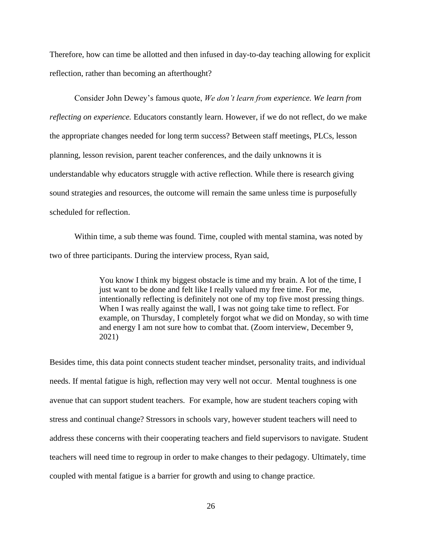Therefore, how can time be allotted and then infused in day-to-day teaching allowing for explicit reflection, rather than becoming an afterthought?

Consider John Dewey's famous quote, *We don't learn from experience. We learn from reflecting on experience.* Educators constantly learn. However, if we do not reflect, do we make the appropriate changes needed for long term success? Between staff meetings, PLCs, lesson planning, lesson revision, parent teacher conferences, and the daily unknowns it is understandable why educators struggle with active reflection. While there is research giving sound strategies and resources, the outcome will remain the same unless time is purposefully scheduled for reflection.

Within time, a sub theme was found. Time, coupled with mental stamina, was noted by two of three participants. During the interview process, Ryan said,

> You know I think my biggest obstacle is time and my brain. A lot of the time, I just want to be done and felt like I really valued my free time. For me, intentionally reflecting is definitely not one of my top five most pressing things. When I was really against the wall, I was not going take time to reflect. For example, on Thursday, I completely forgot what we did on Monday, so with time and energy I am not sure how to combat that. (Zoom interview, December 9, 2021)

Besides time, this data point connects student teacher mindset, personality traits, and individual needs. If mental fatigue is high, reflection may very well not occur. Mental toughness is one avenue that can support student teachers. For example, how are student teachers coping with stress and continual change? Stressors in schools vary, however student teachers will need to address these concerns with their cooperating teachers and field supervisors to navigate. Student teachers will need time to regroup in order to make changes to their pedagogy. Ultimately, time coupled with mental fatigue is a barrier for growth and using to change practice.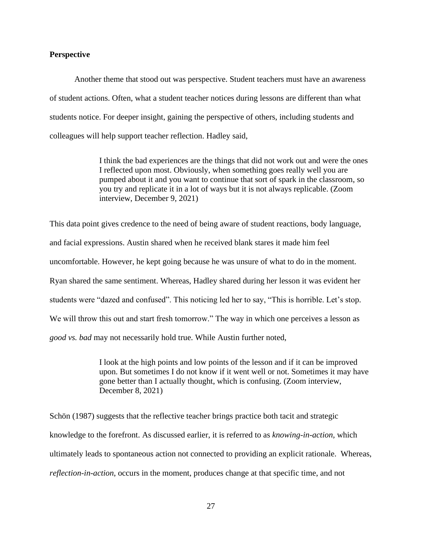#### **Perspective**

Another theme that stood out was perspective. Student teachers must have an awareness of student actions. Often, what a student teacher notices during lessons are different than what students notice. For deeper insight, gaining the perspective of others, including students and colleagues will help support teacher reflection. Hadley said,

> I think the bad experiences are the things that did not work out and were the ones I reflected upon most. Obviously, when something goes really well you are pumped about it and you want to continue that sort of spark in the classroom, so you try and replicate it in a lot of ways but it is not always replicable. (Zoom interview, December 9, 2021)

This data point gives credence to the need of being aware of student reactions, body language, and facial expressions. Austin shared when he received blank stares it made him feel uncomfortable. However, he kept going because he was unsure of what to do in the moment. Ryan shared the same sentiment. Whereas, Hadley shared during her lesson it was evident her students were "dazed and confused". This noticing led her to say, "This is horrible. Let's stop. We will throw this out and start fresh tomorrow." The way in which one perceives a lesson as *good vs. bad* may not necessarily hold true. While Austin further noted,

> I look at the high points and low points of the lesson and if it can be improved upon. But sometimes I do not know if it went well or not. Sometimes it may have gone better than I actually thought, which is confusing. (Zoom interview, December 8, 2021)

Schön (1987) suggests that the reflective teacher brings practice both tacit and strategic knowledge to the forefront. As discussed earlier, it is referred to as *knowing-in-action,* which ultimately leads to spontaneous action not connected to providing an explicit rationale. Whereas, *reflection-in-action*, occurs in the moment, produces change at that specific time, and not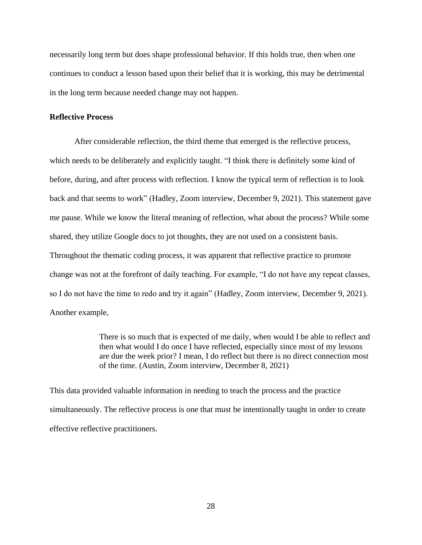necessarily long term but does shape professional behavior. If this holds true, then when one continues to conduct a lesson based upon their belief that it is working, this may be detrimental in the long term because needed change may not happen.

#### **Reflective Process**

After considerable reflection, the third theme that emerged is the reflective process, which needs to be deliberately and explicitly taught. "I think there is definitely some kind of before, during, and after process with reflection. I know the typical term of reflection is to look back and that seems to work" (Hadley, Zoom interview, December 9, 2021). This statement gave me pause. While we know the literal meaning of reflection, what about the process? While some shared, they utilize Google docs to jot thoughts, they are not used on a consistent basis. Throughout the thematic coding process, it was apparent that reflective practice to promote change was not at the forefront of daily teaching. For example, "I do not have any repeat classes, so I do not have the time to redo and try it again" (Hadley, Zoom interview, December 9, 2021). Another example,

> There is so much that is expected of me daily, when would I be able to reflect and then what would I do once I have reflected, especially since most of my lessons are due the week prior? I mean, I do reflect but there is no direct connection most of the time. (Austin, Zoom interview, December 8, 2021)

This data provided valuable information in needing to teach the process and the practice simultaneously. The reflective process is one that must be intentionally taught in order to create effective reflective practitioners.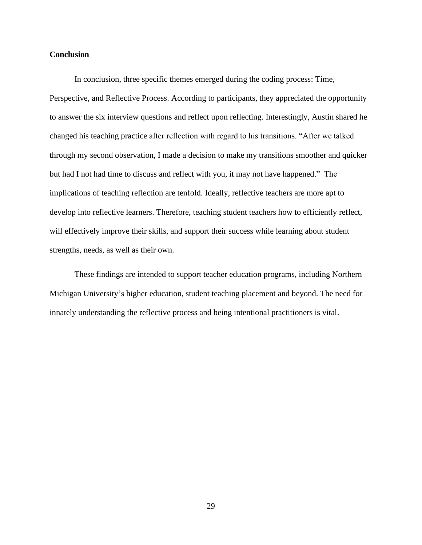## **Conclusion**

In conclusion, three specific themes emerged during the coding process: Time, Perspective, and Reflective Process. According to participants, they appreciated the opportunity to answer the six interview questions and reflect upon reflecting. Interestingly, Austin shared he changed his teaching practice after reflection with regard to his transitions. "After we talked through my second observation, I made a decision to make my transitions smoother and quicker but had I not had time to discuss and reflect with you, it may not have happened." The implications of teaching reflection are tenfold. Ideally, reflective teachers are more apt to develop into reflective learners. Therefore, teaching student teachers how to efficiently reflect, will effectively improve their skills, and support their success while learning about student strengths, needs, as well as their own.

These findings are intended to support teacher education programs, including Northern Michigan University's higher education, student teaching placement and beyond. The need for innately understanding the reflective process and being intentional practitioners is vital.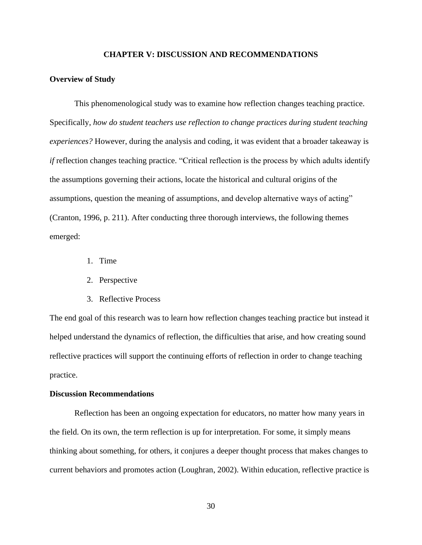#### **CHAPTER V: DISCUSSION AND RECOMMENDATIONS**

#### **Overview of Study**

This phenomenological study was to examine how reflection changes teaching practice. Specifically, *how do student teachers use reflection to change practices during student teaching experiences?* However, during the analysis and coding, it was evident that a broader takeaway is *if* reflection changes teaching practice. "Critical reflection is the process by which adults identify the assumptions governing their actions, locate the historical and cultural origins of the assumptions, question the meaning of assumptions, and develop alternative ways of acting" (Cranton, 1996, p. 211). After conducting three thorough interviews, the following themes emerged:

- 1. Time
- 2. Perspective
- 3. Reflective Process

The end goal of this research was to learn how reflection changes teaching practice but instead it helped understand the dynamics of reflection, the difficulties that arise, and how creating sound reflective practices will support the continuing efforts of reflection in order to change teaching practice.

### **Discussion Recommendations**

Reflection has been an ongoing expectation for educators, no matter how many years in the field. On its own, the term reflection is up for interpretation. For some, it simply means thinking about something, for others, it conjures a deeper thought process that makes changes to current behaviors and promotes action (Loughran, 2002). Within education, reflective practice is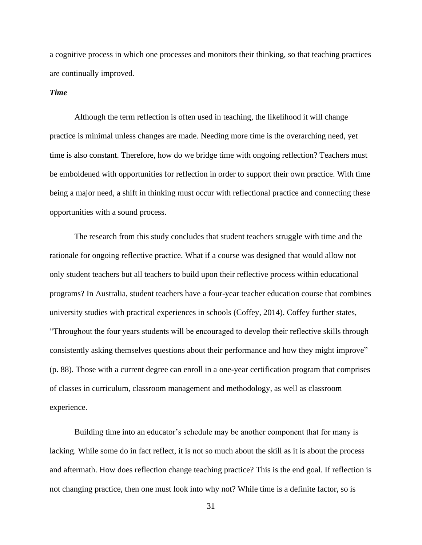a cognitive process in which one processes and monitors their thinking, so that teaching practices are continually improved.

#### *Time*

Although the term reflection is often used in teaching, the likelihood it will change practice is minimal unless changes are made. Needing more time is the overarching need, yet time is also constant. Therefore, how do we bridge time with ongoing reflection? Teachers must be emboldened with opportunities for reflection in order to support their own practice. With time being a major need, a shift in thinking must occur with reflectional practice and connecting these opportunities with a sound process.

The research from this study concludes that student teachers struggle with time and the rationale for ongoing reflective practice. What if a course was designed that would allow not only student teachers but all teachers to build upon their reflective process within educational programs? In Australia, student teachers have a four-year teacher education course that combines university studies with practical experiences in schools (Coffey, 2014). Coffey further states, "Throughout the four years students will be encouraged to develop their reflective skills through consistently asking themselves questions about their performance and how they might improve" (p. 88). Those with a current degree can enroll in a one-year certification program that comprises of classes in curriculum, classroom management and methodology, as well as classroom experience.

Building time into an educator's schedule may be another component that for many is lacking. While some do in fact reflect, it is not so much about the skill as it is about the process and aftermath. How does reflection change teaching practice? This is the end goal. If reflection is not changing practice, then one must look into why not? While time is a definite factor, so is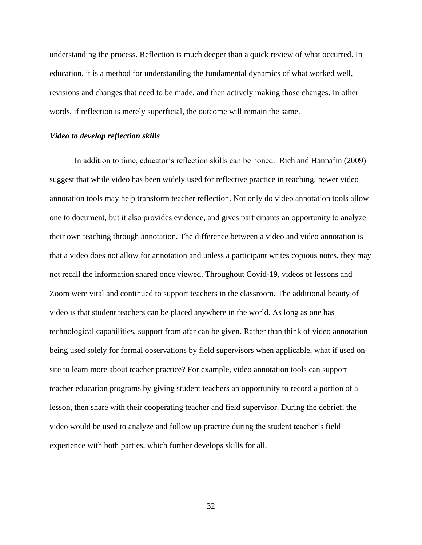understanding the process. Reflection is much deeper than a quick review of what occurred. In education, it is a method for understanding the fundamental dynamics of what worked well, revisions and changes that need to be made, and then actively making those changes. In other words, if reflection is merely superficial, the outcome will remain the same.

#### *Video to develop reflection skills*

In addition to time, educator's reflection skills can be honed. Rich and Hannafin (2009) suggest that while video has been widely used for reflective practice in teaching, newer video annotation tools may help transform teacher reflection. Not only do video annotation tools allow one to document, but it also provides evidence, and gives participants an opportunity to analyze their own teaching through annotation. The difference between a video and video annotation is that a video does not allow for annotation and unless a participant writes copious notes, they may not recall the information shared once viewed. Throughout Covid-19, videos of lessons and Zoom were vital and continued to support teachers in the classroom. The additional beauty of video is that student teachers can be placed anywhere in the world. As long as one has technological capabilities, support from afar can be given. Rather than think of video annotation being used solely for formal observations by field supervisors when applicable, what if used on site to learn more about teacher practice? For example, video annotation tools can support teacher education programs by giving student teachers an opportunity to record a portion of a lesson, then share with their cooperating teacher and field supervisor. During the debrief, the video would be used to analyze and follow up practice during the student teacher's field experience with both parties, which further develops skills for all.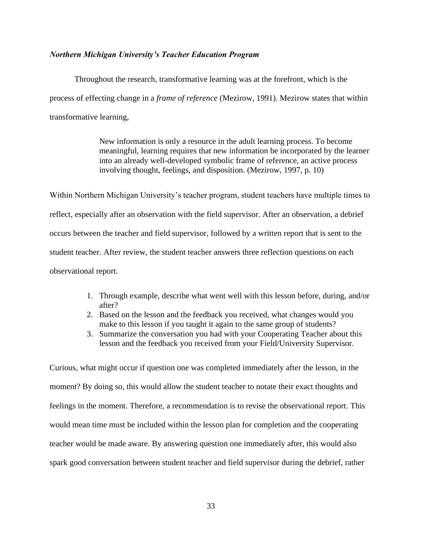## *Northern Michigan University's Teacher Education Program*

Throughout the research, transformative learning was at the forefront, which is the process of effecting change in a *frame of reference* (Mezirow, 1991). Mezirow states that within transformative learning,

> New information is only a resource in the adult learning process. To become meaningful, learning requires that new information be incorporated by the learner into an already well-developed symbolic frame of reference, an active process involving thought, feelings, and disposition. (Mezirow, 1997, p. 10)

Within Northern Michigan University's teacher program, student teachers have multiple times to reflect, especially after an observation with the field supervisor. After an observation, a debrief occurs between the teacher and field supervisor, followed by a written report that is sent to the student teacher. After review, the student teacher answers three reflection questions on each observational report.

- 1. Through example, describe what went well with this lesson before, during, and/or after?
- 2. Based on the lesson and the feedback you received, what changes would you make to this lesson if you taught it again to the same group of students?
- 3. Summarize the conversation you had with your Cooperating Teacher about this lesson and the feedback you received from your Field/University Supervisor.

Curious, what might occur if question one was completed immediately after the lesson, in the moment? By doing so, this would allow the student teacher to notate their exact thoughts and feelings in the moment. Therefore, a recommendation is to revise the observational report. This would mean time must be included within the lesson plan for completion and the cooperating teacher would be made aware. By answering question one immediately after, this would also spark good conversation between student teacher and field supervisor during the debrief, rather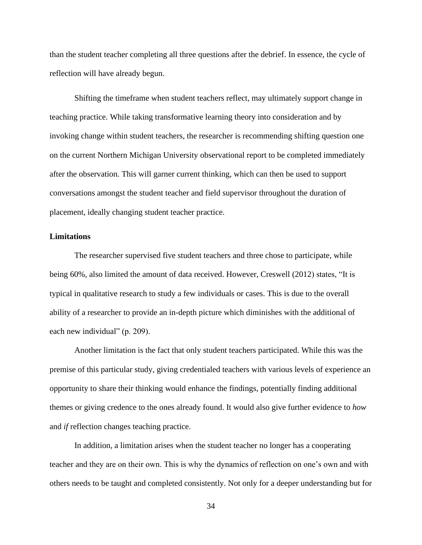than the student teacher completing all three questions after the debrief. In essence, the cycle of reflection will have already begun.

Shifting the timeframe when student teachers reflect, may ultimately support change in teaching practice. While taking transformative learning theory into consideration and by invoking change within student teachers, the researcher is recommending shifting question one on the current Northern Michigan University observational report to be completed immediately after the observation. This will garner current thinking, which can then be used to support conversations amongst the student teacher and field supervisor throughout the duration of placement, ideally changing student teacher practice.

#### **Limitations**

The researcher supervised five student teachers and three chose to participate, while being 60%, also limited the amount of data received. However, Creswell (2012) states, "It is typical in qualitative research to study a few individuals or cases. This is due to the overall ability of a researcher to provide an in-depth picture which diminishes with the additional of each new individual" (p. 209).

Another limitation is the fact that only student teachers participated. While this was the premise of this particular study, giving credentialed teachers with various levels of experience an opportunity to share their thinking would enhance the findings, potentially finding additional themes or giving credence to the ones already found. It would also give further evidence to *how*  and *if* reflection changes teaching practice.

In addition, a limitation arises when the student teacher no longer has a cooperating teacher and they are on their own. This is why the dynamics of reflection on one's own and with others needs to be taught and completed consistently. Not only for a deeper understanding but for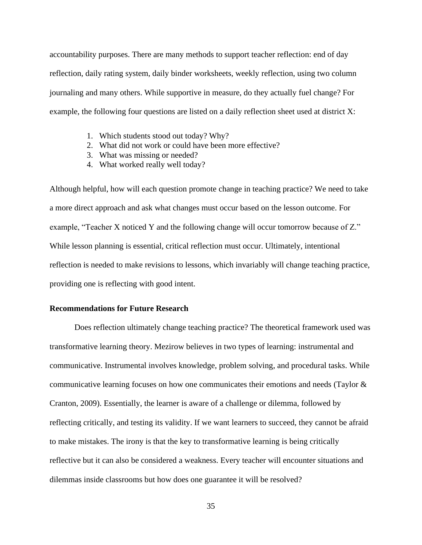accountability purposes. There are many methods to support teacher reflection: end of day reflection, daily rating system, daily binder worksheets, weekly reflection, using two column journaling and many others. While supportive in measure, do they actually fuel change? For example, the following four questions are listed on a daily reflection sheet used at district X:

- 1. Which students stood out today? Why?
- 2. What did not work or could have been more effective?
- 3. What was missing or needed?
- 4. What worked really well today?

Although helpful, how will each question promote change in teaching practice? We need to take a more direct approach and ask what changes must occur based on the lesson outcome. For example, "Teacher X noticed Y and the following change will occur tomorrow because of Z." While lesson planning is essential, critical reflection must occur. Ultimately, intentional reflection is needed to make revisions to lessons, which invariably will change teaching practice, providing one is reflecting with good intent.

## **Recommendations for Future Research**

Does reflection ultimately change teaching practice? The theoretical framework used was transformative learning theory. Mezirow believes in two types of learning: instrumental and communicative. Instrumental involves knowledge, problem solving, and procedural tasks. While communicative learning focuses on how one communicates their emotions and needs (Taylor & Cranton, 2009). Essentially, the learner is aware of a challenge or dilemma, followed by reflecting critically, and testing its validity. If we want learners to succeed, they cannot be afraid to make mistakes. The irony is that the key to transformative learning is being critically reflective but it can also be considered a weakness. Every teacher will encounter situations and dilemmas inside classrooms but how does one guarantee it will be resolved?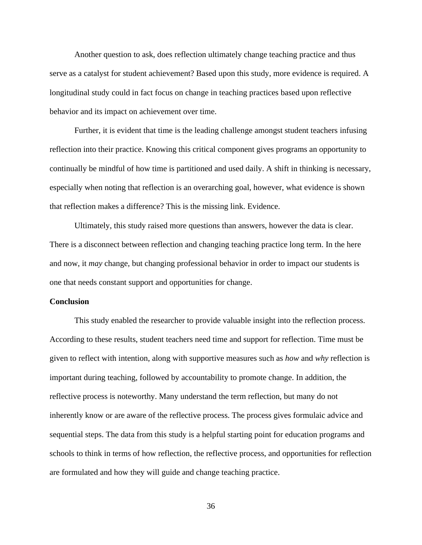Another question to ask, does reflection ultimately change teaching practice and thus serve as a catalyst for student achievement? Based upon this study, more evidence is required. A longitudinal study could in fact focus on change in teaching practices based upon reflective behavior and its impact on achievement over time.

Further, it is evident that time is the leading challenge amongst student teachers infusing reflection into their practice. Knowing this critical component gives programs an opportunity to continually be mindful of how time is partitioned and used daily. A shift in thinking is necessary, especially when noting that reflection is an overarching goal, however, what evidence is shown that reflection makes a difference? This is the missing link. Evidence.

Ultimately, this study raised more questions than answers, however the data is clear. There is a disconnect between reflection and changing teaching practice long term. In the here and now, it *may* change, but changing professional behavior in order to impact our students is one that needs constant support and opportunities for change.

#### **Conclusion**

This study enabled the researcher to provide valuable insight into the reflection process. According to these results, student teachers need time and support for reflection. Time must be given to reflect with intention, along with supportive measures such as *how* and *why* reflection is important during teaching, followed by accountability to promote change. In addition, the reflective process is noteworthy. Many understand the term reflection, but many do not inherently know or are aware of the reflective process. The process gives formulaic advice and sequential steps. The data from this study is a helpful starting point for education programs and schools to think in terms of how reflection, the reflective process, and opportunities for reflection are formulated and how they will guide and change teaching practice.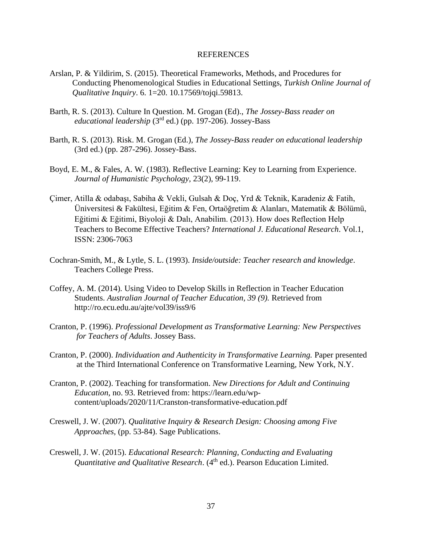#### REFERENCES

- Arslan, P. & Yildirim, S. (2015). Theoretical Frameworks, Methods, and Procedures for Conducting Phenomenological Studies in Educational Settings, *Turkish Online Journal of Qualitative Inquiry*. 6. 1=20. 10.17569/tojqi.59813.
- Barth, R. S. (2013). Culture In Question. M. Grogan (Ed)., *The Jossey-Bass reader on educational leadership* (3rd ed.) (pp. 197-206). Jossey-Bass
- Barth, R. S. (2013). Risk. M. Grogan (Ed.), *The Jossey-Bass reader on educational leadership* (3rd ed.) (pp. 287-296). Jossey-Bass.
- Boyd, E. M., & Fales, A. W. (1983). Reflective Learning: Key to Learning from Experience. *Journal of Humanistic Psychology*, 23(2), 99-119.
- Çimer, Atilla & odabaşı, Sabiha & Vekli, Gulsah & Doç, Yrd & Teknik, Karadeniz & Fatih, Üniversitesi & Fakültesi, Eğitim & Fen, Ortaöğretim & Alanları, Matematik & Bölümü, Eğitimi & Eğitimi, Biyoloji & Dalı, Anabilim. (2013). How does Reflection Help Teachers to Become Effective Teachers? *International J. Educational Research*. Vol.1, ISSN: 2306-7063
- Cochran-Smith, M., & Lytle, S. L. (1993). *Inside/outside: Teacher research and knowledge*. Teachers College Press.
- Coffey, A. M. (2014). Using Video to Develop Skills in Reflection in Teacher Education Students. *Australian Journal of Teacher Education, 39 (9).* Retrieved from <http://ro.ecu.edu.au/ajte/vol39/iss9/6>
- Cranton, P. (1996). *Professional Development as Transformative Learning: New Perspectives for Teachers of Adults*. Jossey Bass.
- Cranton, P. (2000). *Individuation and Authenticity in Transformative Learning.* Paper presented at the Third International Conference on Transformative Learning, New York, N.Y.
- Cranton, P. (2002). Teaching for transformation. *New Directions for Adult and Continuing Education*, no. 93. Retrieved from: [https://learn.edu/wp](https://learn.edu/wp-%20%20%20%20%20%20content/uploads/2020/11/Cranston-transformative-education.pdf)[content/uploads/2020/11/Cranston-transformative-education.pdf](https://learn.edu/wp-%20%20%20%20%20%20content/uploads/2020/11/Cranston-transformative-education.pdf)
- Creswell, J. W. (2007). *Qualitative Inquiry & Research Design: Choosing among Five Approaches,* (pp. 53-84). Sage Publications.
- Creswell, J. W. (2015). *Educational Research: Planning, Conducting and Evaluating Quantitative and Qualitative Research.* (4<sup>th</sup> ed.). Pearson Education Limited.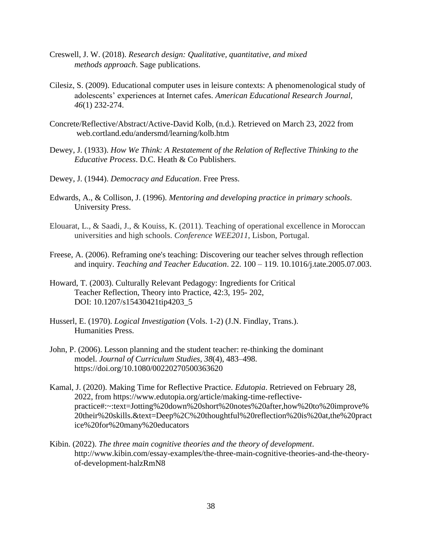- Creswell, J. W. (2018). *Research design: Qualitative, quantitative, and mixed methods approach*. Sage publications.
- Cilesiz, S. (2009). Educational computer uses in leisure contexts: A phenomenological study of adolescents' experiences at Internet cafes. *American Educational Research Journal, 46*(1) 232-274.
- Concrete/Reflective/Abstract/Active-David Kolb, (n.d.). Retrieved on March 23, 2022 from web.cortland.edu/andersmd/learning/kolb.htm
- Dewey, J. (1933). *How We Think: A Restatement of the Relation of Reflective Thinking to the Educative Process*. D.C. Heath & Co Publishers.
- Dewey, J. (1944). *Democracy and Education*. Free Press.
- Edwards, A., & Collison, J. (1996). *Mentoring and developing practice in primary schools*. University Press.
- Elouarat, L., & Saadi, J., & Kouiss, K. (2011). Teaching of operational excellence in Moroccan universities and high schools. *Conference WEE2011*, Lisbon, Portugal.
- Freese, A. (2006). Reframing one's teaching: Discovering our teacher selves through reflection and inquiry. *Teaching and Teacher Education*. 22. 100 – 119. 10.1016/j.tate.2005.07.003.
- Howard, T. (2003). Culturally Relevant Pedagogy: Ingredients for Critical Teacher Reflection, Theory into Practice, 42:3, 195- 202, DOI: [10.1207/s15430421tip4203\\_5](https://doi.org/10.1207/s15430421tip4203_5)
- Husserl, E. (1970). *Logical Investigation* (Vols. 1-2) (J.N. Findlay, Trans.). Humanities Press.
- John, P. (2006). Lesson planning and the student teacher: re-thinking the dominant model. *Journal of Curriculum Studies*, *38*(4), 483–498. <https://doi.org/10.1080/00220270500363620>
- Kamal, J. (2020). Making Time for Reflective Practice. *Edutopia*. Retrieved on February 28, 2022, from [https://www.edutopia.org/article/making-time-reflective](https://www.edutopia.org/article/making-time-reflective-practice#:~:text=Jotting%20down%20short%20notes%20after,how%20to%20improve%20their%20skills.&text=Deep%2C%20thoughtful%20reflection%20is%20at,the%20practice%20for%20many%20educators)[practice#:~:text=Jotting%20down%20short%20notes%20after,how%20to%20improve%](https://www.edutopia.org/article/making-time-reflective-practice#:~:text=Jotting%20down%20short%20notes%20after,how%20to%20improve%20their%20skills.&text=Deep%2C%20thoughtful%20reflection%20is%20at,the%20practice%20for%20many%20educators) [20their%20skills.&text=Deep%2C%20thoughtful%20reflection%20is%20at,the%20pract](https://www.edutopia.org/article/making-time-reflective-practice#:~:text=Jotting%20down%20short%20notes%20after,how%20to%20improve%20their%20skills.&text=Deep%2C%20thoughtful%20reflection%20is%20at,the%20practice%20for%20many%20educators) [ice%20for%20many%20educators](https://www.edutopia.org/article/making-time-reflective-practice#:~:text=Jotting%20down%20short%20notes%20after,how%20to%20improve%20their%20skills.&text=Deep%2C%20thoughtful%20reflection%20is%20at,the%20practice%20for%20many%20educators)
- Kibin. (2022). *The three main cognitive theories and the theory of development*. [http://www.kibin.com/essay-examples/the-three-main-cognitive-theories-and-the-theory](http://www.kibin.com/essay-examples/the-three-main-cognitive-theories-and-the-theory-%20%20%20%20%20%20of-development-halzRmN8)[of-development-halzRmN8](http://www.kibin.com/essay-examples/the-three-main-cognitive-theories-and-the-theory-%20%20%20%20%20%20of-development-halzRmN8)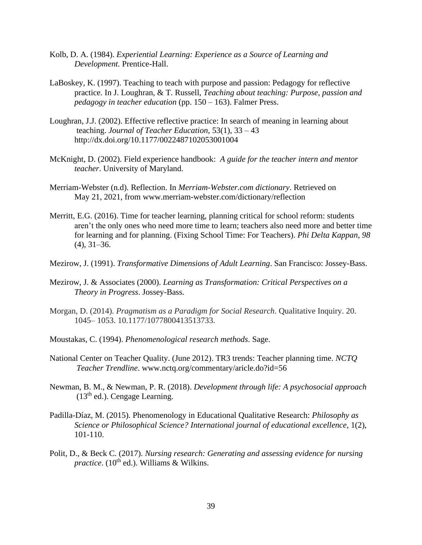- Kolb, D. A. (1984). *Experiential Learning: Experience as a Source of Learning and Development.* Prentice-Hall.
- LaBoskey, K. (1997). Teaching to teach with purpose and passion: Pedagogy for reflective practice. In J. Loughran, & T. Russell, *Teaching about teaching: Purpose, passion and pedagogy in teacher education* (pp. 150 – 163). Falmer Press.
- Loughran, J.J. (2002). Effective reflective practice: In search of meaning in learning about teaching. *Journal of Teacher Education*, 53(1), 33 – 43 <http://dx.doi.org/10.1177/0022487102053001004>
- McKnight, D. (2002). Field experience handbook: *A guide for the teacher intern and mentor teacher*. University of Maryland.
- Merriam-Webster (n.d). Reflection. In *Merriam-Webster.com dictionary*. Retrieved on May 21, 2021, from [www.merriam-webster.com/dictionary/reflection](http://www.merriam-webster.com/dictionary/reflection)
- Merritt, E.G. (2016). Time for teacher learning, planning critical for school reform: students aren't the only ones who need more time to learn; teachers also need more and better time for learning and for planning. (Fixing School Time: For Teachers). *Phi Delta Kappan*, *98*   $(4)$ , 31–36.
- Mezirow, J. (1991). *Transformative Dimensions of Adult Learning*. San Francisco: Jossey-Bass.
- Mezirow, J. & Associates (2000). *Learning as Transformation: Critical Perspectives on a Theory in Progress*. Jossey-Bass.
- Morgan, D. (2014). *Pragmatism as a Paradigm for Social Research*. Qualitative Inquiry. 20. 1045– 1053. 10.1177/1077800413513733.
- Moustakas, C. (1994). *Phenomenological research methods*. Sage.
- National Center on Teacher Quality. (June 2012). TR3 trends: Teacher planning time. *NCTQ Teacher Trendline*. [www.nctq.org/commentary/aricle.do?id=56](http://www.nctq.org/commentary/aricle.do?id=56)
- Newman, B. M., & Newman, P. R. (2018). *Development through life: A psychosocial approach*  $(13<sup>th</sup>$  ed.). Cengage Learning.
- Padilla-Díaz, M. (2015). Phenomenology in Educational Qualitative Research: *Philosophy as Science or Philosophical Science? International journal of educational excellence*, 1(2), 101-110.
- Polit, D., & Beck C. (2017). *Nursing research: Generating and assessing evidence for nursing practice*. (10<sup>th</sup> ed.). Williams & Wilkins.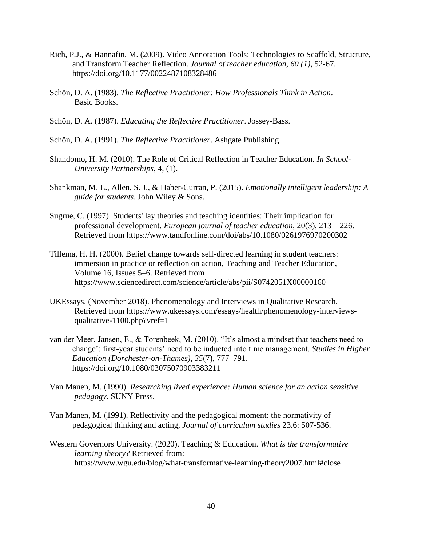- Rich, P.J., & Hannafin, M. (2009). Video Annotation Tools: Technologies to Scaffold, Structure, and Transform Teacher Reflection. *Journal of teacher education, 60 (1),* 52-67. <https://doi.org/10.1177/0022487108328486>
- Schön, D. A. (1983). *The Reflective Practitioner: How Professionals Think in Action*. Basic Books.
- Schön, D. A. (1987). *Educating the Reflective Practitioner*. Jossey-Bass.
- Schön, D. A. (1991). *The Reflective Practitioner*. Ashgate Publishing.
- Shandomo, H. M. (2010). The Role of Critical Reflection in Teacher Education. *In School- University Partnerships*, 4, (1).
- Shankman, M. L., Allen, S. J., & Haber-Curran, P. (2015). *Emotionally intelligent leadership: A guide for students*. John Wiley & Sons.
- Sugrue, C. (1997). Students' lay theories and teaching identities: Their implication for professional development. *European journal of teacher education*, 20(3), 213 – 226. Retrieved from<https://www.tandfonline.com/doi/abs/10.1080/0261976970200302>
- Tillema, H. H. (2000). Belief change towards self-directed learning in student teachers: immersion in practice or reflection on action, Teaching and Teacher Education, Volume 16, Issues 5–6. Retrieved from <https://www.sciencedirect.com/science/article/abs/pii/S0742051X00000160>
- UKEssays. (November 2018). Phenomenology and Interviews in Qualitative Research. Retrieved from [https://www.ukessays.com/essays/health/phenomenology-interviews](https://www.ukessays.com/essays/health/phenomenology-interviews-qualitative-1100.php?vref=1)[qualitative-1100.php?vref=1](https://www.ukessays.com/essays/health/phenomenology-interviews-qualitative-1100.php?vref=1)
- van der Meer, Jansen, E., & Torenbeek, M. (2010). "It's almost a mindset that teachers need to change': first-year students' need to be inducted into time management. *Studies in Higher Education (Dorchester-on-Thames)*, *35*(7), 777–791. https://doi.org/10.1080/03075070903383211
- Van Manen, M. (1990). *Researching lived experience: Human science for an action sensitive pedagogy.* SUNY Press.
- Van Manen, M. (1991). Reflectivity and the pedagogical moment: the normativity of pedagogical thinking and acting, *Journal of curriculum studies* 23.6: 507-536.
- Western Governors University. (2020). Teaching & Education. *What is the transformative learning theory?* Retrieved from: <https://www.wgu.edu/blog/what-transformative-learning-theory2007.html#close>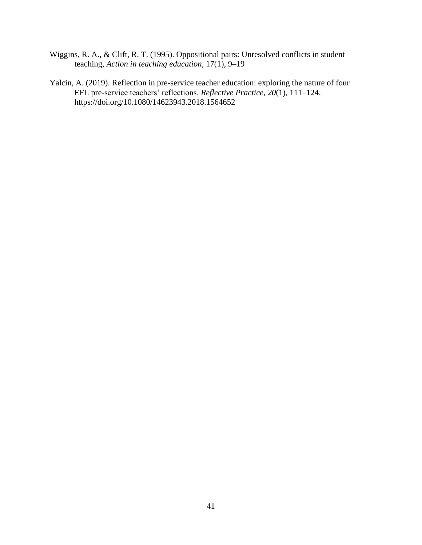- Wiggins, R. A., & Clift, R. T. (1995). Oppositional pairs: Unresolved conflicts in student teaching, *Action in teaching education*, 17(1), 9–19
- Yalcin, A. (2019). Reflection in pre-service teacher education: exploring the nature of four EFL pre-service teachers' reflections. *Reflective Practice*, *20*(1), 111–124. https://doi.org/10.1080/14623943.2018.1564652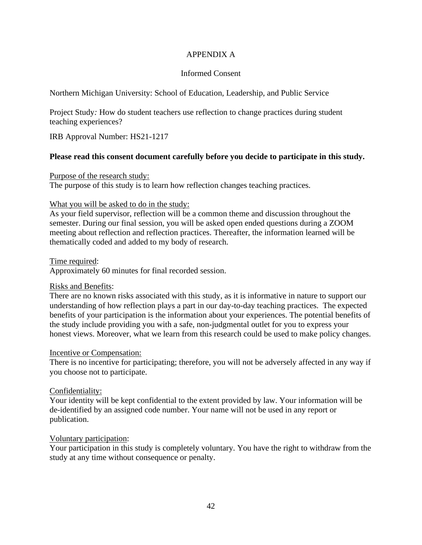## APPENDIX A

## Informed Consent

Northern Michigan University: School of Education, Leadership, and Public Service

Project Study*:* How do student teachers use reflection to change practices during student teaching experiences?

IRB Approval Number: HS21-1217

## **Please read this consent document carefully before you decide to participate in this study.**

## Purpose of the research study:

The purpose of this study is to learn how reflection changes teaching practices.

## What you will be asked to do in the study:

As your field supervisor, reflection will be a common theme and discussion throughout the semester. During our final session, you will be asked open ended questions during a ZOOM meeting about reflection and reflection practices. Thereafter, the information learned will be thematically coded and added to my body of research.

## Time required:

Approximately 60 minutes for final recorded session.

## Risks and Benefits:

There are no known risks associated with this study, as it is informative in nature to support our understanding of how reflection plays a part in our day-to-day teaching practices. The expected benefits of your participation is the information about your experiences. The potential benefits of the study include providing you with a safe, non-judgmental outlet for you to express your honest views. Moreover, what we learn from this research could be used to make policy changes.

## Incentive or Compensation:

There is no incentive for participating; therefore, you will not be adversely affected in any way if you choose not to participate.

## Confidentiality:

Your identity will be kept confidential to the extent provided by law. Your information will be de-identified by an assigned code number. Your name will not be used in any report or publication.

## Voluntary participation:

Your participation in this study is completely voluntary. You have the right to withdraw from the study at any time without consequence or penalty.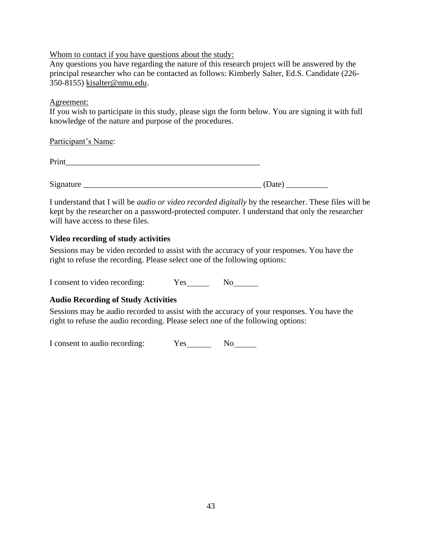## Whom to contact if you have questions about the study:

Any questions you have regarding the nature of this research project will be answered by the principal researcher who can be contacted as follows: Kimberly Salter, Ed.S. Candidate (226- 350-8155) [kisalter@nmu.edu.](mailto:kisalter@nmu.edu)

## Agreement:

If you wish to participate in this study, please sign the form below. You are signing it with full knowledge of the nature and purpose of the procedures.

Participant's Name:

Print\_\_\_\_\_\_\_\_\_\_\_\_\_\_\_\_\_\_\_\_\_\_\_\_\_\_\_\_\_\_\_\_\_\_\_\_\_\_\_\_\_\_\_\_\_\_\_

Signature \_\_\_\_\_\_\_\_\_\_\_\_\_\_\_\_\_\_\_\_\_\_\_\_\_\_\_\_\_\_\_\_\_\_\_\_\_\_\_\_\_\_\_ (Date) \_\_\_\_\_\_\_\_\_\_

I understand that I will be *audio or video recorded digitally* by the researcher. These files will be kept by the researcher on a password-protected computer. I understand that only the researcher will have access to these files.

## **Video recording of study activities**

Sessions may be video recorded to assist with the accuracy of your responses. You have the right to refuse the recording. Please select one of the following options:

I consent to video recording: Yes No

## **Audio Recording of Study Activities**

Sessions may be audio recorded to assist with the accuracy of your responses. You have the right to refuse the audio recording. Please select one of the following options:

I consent to audio recording: Yes No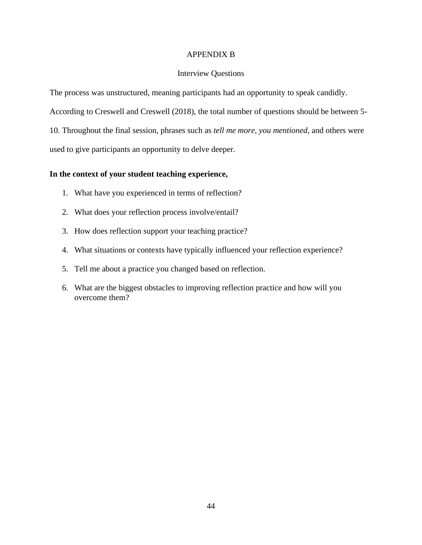## APPENDIX B

## Interview Questions

The process was unstructured, meaning participants had an opportunity to speak candidly. According to Creswell and Creswell (2018), the total number of questions should be between 5- 10. Throughout the final session, phrases such as *tell me more*, *you mentioned*, and others were used to give participants an opportunity to delve deeper.

## **In the context of your student teaching experience,**

- 1. What have you experienced in terms of reflection?
- 2. What does your reflection process involve/entail?
- 3. How does reflection support your teaching practice?
- 4. What situations or contexts have typically influenced your reflection experience?
- 5. Tell me about a practice you changed based on reflection.
- 6. What are the biggest obstacles to improving reflection practice and how will you overcome them?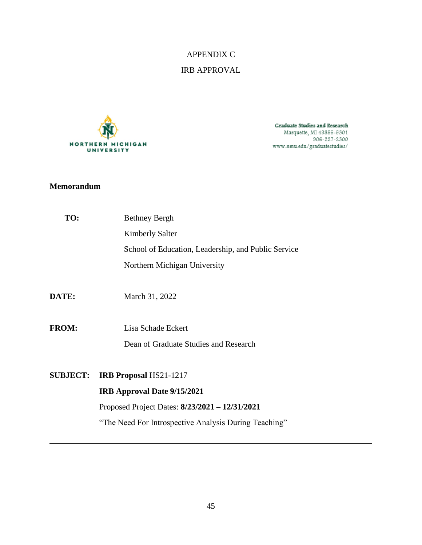# APPENDIX C IRB APPROVAL



Graduate Studies and Research Marquette, MI 49855-5301 906-227-2300  $\label{thm:sum} {\tt www.nmu.edu/graduates tudies/}$ 

## **Memorandum**

| TO:             | <b>Bethney Bergh</b>                                  |
|-----------------|-------------------------------------------------------|
|                 | <b>Kimberly Salter</b>                                |
|                 | School of Education, Leadership, and Public Service   |
|                 | Northern Michigan University                          |
|                 |                                                       |
| <b>DATE:</b>    | March 31, 2022                                        |
|                 |                                                       |
| <b>FROM:</b>    | Lisa Schade Eckert                                    |
|                 | Dean of Graduate Studies and Research                 |
|                 |                                                       |
| <b>SUBJECT:</b> | <b>IRB Proposal HS21-1217</b>                         |
|                 | <b>IRB Approval Date 9/15/2021</b>                    |
|                 | Proposed Project Dates: 8/23/2021 - 12/31/2021        |
|                 | "The Need For Introspective Analysis During Teaching" |
|                 |                                                       |